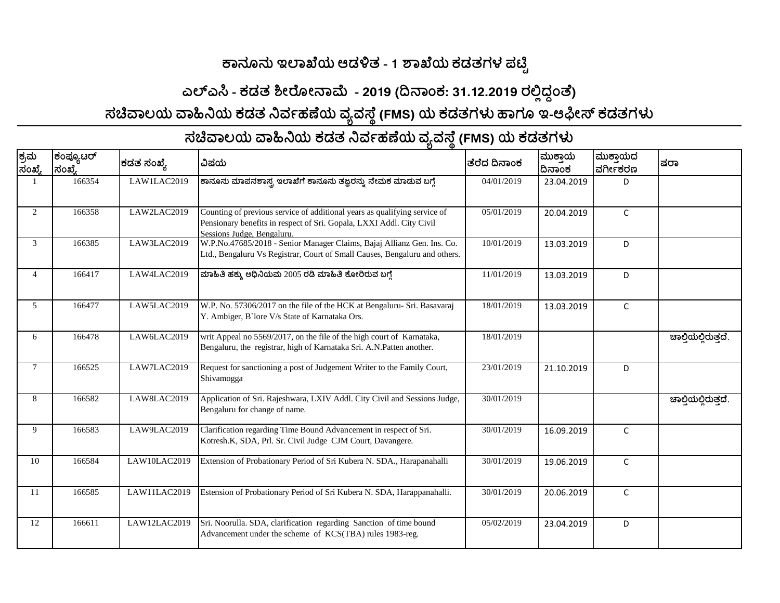## **ಕಾನೂನು ಇಲಾಖೆಯ ಆಡಳಿತ - 1 ಶಾಖೆಯ ಕಡತಗಳ ಪಟ್ಟ ಿ**

## **ಎಲಎಸಿ - ಕಡತ ಶೀರೊೀನಾಮೆ - 2019 (ದಿನಾಾಂಕ: 31.12.2019 ರಲ್ಲಿದ್ ದ ಾಂತೆ)**

**ಸಚಿವಾಲಯ ವಾಹಿನಿಯ ಕಡತ ನಿರ್ವಹಣೆಯ ರ್ಯರ್ಸ್ೆ ೆ(FMS) ಯ ಕಡತಗಳು ಹಾಗೂ ಇ-ಆಫೀಸ ಕಡತಗಳು**

|                |                      |              | ັບ                                                                                                                                                                              |              |                  |                     |                     |
|----------------|----------------------|--------------|---------------------------------------------------------------------------------------------------------------------------------------------------------------------------------|--------------|------------------|---------------------|---------------------|
| ಕ್ರಮ<br>ಸಂಖ್ಯೆ | ಕಂಪ್ಯೂಟರ್<br> ಸಂಖ್ಯೆ | ಕಡತ ಸಂಖ್ಯೆ   | ವಿಷಯ                                                                                                                                                                            | ತೆರೆದ ದಿನಾಂಕ | ಮುಕಾಯ<br> ದಿನಾಂಕ | ಮುಕಾಯದ<br>lವರ್ಗೀಕರಣ | ಷರಾ                 |
|                | 166354               | LAW1LAC2019  | ಕಾನೂನು ಮಾಪನಶಾಸ್ತ್ರ ಇಲಾಖೆಗೆ ಕಾನೂನು ತಜ್ಞರನ್ನು ನೇಮಕ ಮಾಡುವ ಬಗ್ಗೆ                                                                                                                    | 04/01/2019   | 23.04.2019       | D.                  |                     |
| 2              | 166358               | LAW2LAC2019  | Counting of previous service of additional years as qualifying service of<br>Pensionary benefits in respect of Sri. Gopala, LXXI Addl. City Civil<br>Sessions Judge, Bengaluru. | 05/01/2019   | 20.04.2019       | $\mathsf{C}$        |                     |
| 3              | 166385               | LAW3LAC2019  | W.P.No.47685/2018 - Senior Manager Claims, Bajaj Allianz Gen. Ins. Co.<br>Ltd., Bengaluru Vs Registrar, Court of Small Causes, Bengaluru and others.                            | 10/01/2019   | 13.03.2019       | D                   |                     |
| 4              | 166417               | LAW4LAC2019  | ಮಾಹಿತಿ ಹಕ್ಕು ಅಧಿನಿಯಮ 2005 ರಡಿ ಮಾಹಿತಿ ಕೋರಿರುವ ಬಗ್ಗೆ                                                                                                                              | 11/01/2019   | 13.03.2019       | D                   |                     |
| 5              | 166477               | LAW5LAC2019  | W.P. No. 57306/2017 on the file of the HCK at Bengaluru- Sri. Basavaraj<br>Y. Ambiger, B'lore V/s State of Karnataka Ors.                                                       | 18/01/2019   | 13.03.2019       | $\mathsf{C}$        |                     |
| 6              | 166478               | LAW6LAC2019  | writ Appeal no 5569/2017, on the file of the high court of Karnataka,<br>Bengaluru, the registrar, high of Karnataka Sri. A.N.Patten another.                                   | 18/01/2019   |                  |                     | ಚಾಲಿಯಲಿರುತದೆ.       |
| $\tau$         | 166525               | LAW7LAC2019  | Request for sanctioning a post of Judgement Writer to the Family Court,<br>Shivamogga                                                                                           | 23/01/2019   | 21.10.2019       | D                   |                     |
| 8              | 166582               | LAW8LAC2019  | Application of Sri. Rajeshwara, LXIV Addl. City Civil and Sessions Judge,<br>Bengaluru for change of name.                                                                      | 30/01/2019   |                  |                     | ಚಾಲ್ತಿಯಲ್ಲಿರುತ್ತದೆ. |
| 9              | 166583               | LAW9LAC2019  | Clarification regarding Time Bound Advancement in respect of Sri.<br>Kotresh.K, SDA, Prl. Sr. Civil Judge CJM Court, Davangere.                                                 | 30/01/2019   | 16.09.2019       | $\mathsf{C}$        |                     |
| 10             | 166584               | LAW10LAC2019 | Extension of Probationary Period of Sri Kubera N. SDA., Harapanahalli                                                                                                           | 30/01/2019   | 19.06.2019       | $\mathsf{C}$        |                     |
| <b>11</b>      | 166585               | LAW11LAC2019 | Estension of Probationary Period of Sri Kubera N. SDA, Harappanahalli.                                                                                                          | 30/01/2019   | 20.06.2019       | $\mathsf{C}$        |                     |
| 12             | 166611               | LAW12LAC2019 | Sri. Noorulla. SDA, clarification regarding Sanction of time bound<br>Advancement under the scheme of KCS(TBA) rules 1983-reg.                                                  | 05/02/2019   | 23.04.2019       | D                   |                     |

## **ಸಚಿವಾಲಯ ವಾಹಿನಿಯ ಕಡತ ನಿರ್ವಹಣೆಯ ರ್ಯರ್ಸ್ೆ ೆ(FMS) ಯ ಕಡತಗಳು**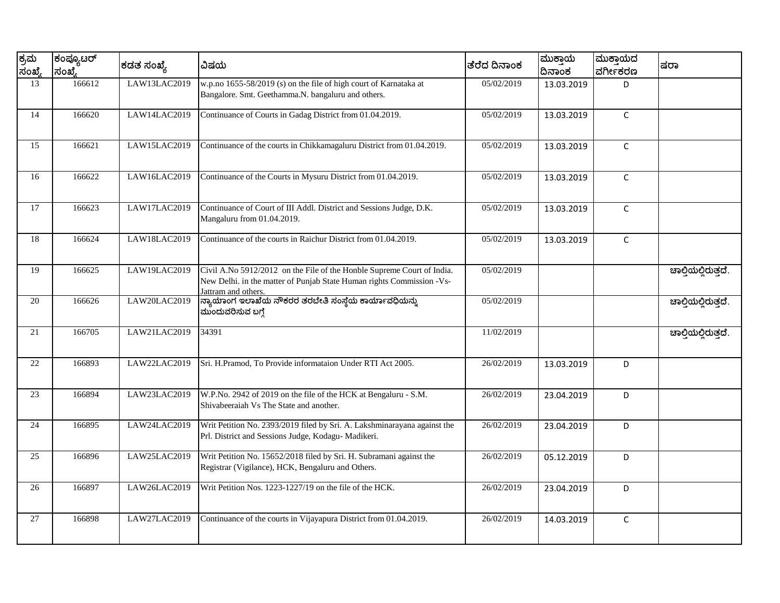| ಕ್ರಮ<br>ಸಂಖ್ಯೆ | ಕಂಪ್ಯೂಟರ್<br>ಸಂಖ್ಮೆ | ಕಡತ ಸಂಖ್ಯೆ   | ವಿಷಯ                                                                                                                                                                   | ತೆರೆದ ದಿನಾಂಕ | ಮುಕ್ತಾಯ<br>ದಿನಾಂಕ | ಮುಕ್ತಾಯದ<br>ವರ್ಗೀಕರಣ | ಷರಾ                 |
|----------------|---------------------|--------------|------------------------------------------------------------------------------------------------------------------------------------------------------------------------|--------------|-------------------|----------------------|---------------------|
| 13             | 166612              | LAW13LAC2019 | w.p.no 1655-58/2019 (s) on the file of high court of Karnataka at<br>Bangalore. Smt. Geethamma.N. bangaluru and others.                                                | 05/02/2019   | 13.03.2019        | D                    |                     |
| 14             | 166620              | LAW14LAC2019 | Continuance of Courts in Gadag District from 01.04.2019.                                                                                                               | 05/02/2019   | 13.03.2019        | $\mathsf{C}$         |                     |
| 15             | 166621              | LAW15LAC2019 | Continuance of the courts in Chikkamagaluru District from 01.04.2019.                                                                                                  | 05/02/2019   | 13.03.2019        | $\mathsf{C}$         |                     |
| 16             | 166622              | LAW16LAC2019 | Continuance of the Courts in Mysuru District from 01.04.2019.                                                                                                          | 05/02/2019   | 13.03.2019        | $\mathsf C$          |                     |
| 17             | 166623              | LAW17LAC2019 | Continuance of Court of III Addl. District and Sessions Judge, D.K.<br>Mangaluru from 01.04.2019.                                                                      | 05/02/2019   | 13.03.2019        | $\mathsf{C}$         |                     |
| 18             | 166624              | LAW18LAC2019 | Continuance of the courts in Raichur District from 01.04.2019.                                                                                                         | 05/02/2019   | 13.03.2019        | $\mathsf C$          |                     |
| 19             | 166625              | LAW19LAC2019 | Civil A.No 5912/2012 on the File of the Honble Supreme Court of India.<br>New Delhi. in the matter of Punjab State Human rights Commission -Vs-<br>Jattram and others. | 05/02/2019   |                   |                      | ಚಾಲ್ತಿಯಲ್ಲಿರುತ್ತದೆ. |
| 20             | 166626              | LAW20LAC2019 | ನ್ಯಾಯಾಂಗ ಇಲಾಖೆಯ ನೌಕರರ ತರಬೇತಿ ಸಂಸ್ಥೆಯ ಕಾರ್ಯಾವಧಿಯನ್ನು<br>ಮುಂದುವರಿಸುವ ಬಗ್ಗೆ                                                                                               | 05/02/2019   |                   |                      | ಚಾಲ್ತಿಯಲ್ಲಿರುತ್ತದೆ. |
| 21             | 166705              | LAW21LAC2019 | 34391                                                                                                                                                                  | 11/02/2019   |                   |                      | ಚಾಲ್ತಿಯಲ್ಲಿರುತ್ತದೆ. |
| 22             | 166893              | LAW22LAC2019 | Sri. H.Pramod, To Provide informataion Under RTI Act 2005.                                                                                                             | 26/02/2019   | 13.03.2019        | D                    |                     |
| 23             | 166894              | LAW23LAC2019 | W.P.No. 2942 of 2019 on the file of the HCK at Bengaluru - S.M.<br>Shivabeeraiah Vs The State and another.                                                             | 26/02/2019   | 23.04.2019        | D                    |                     |
| 24             | 166895              | LAW24LAC2019 | Writ Petition No. 2393/2019 filed by Sri. A. Lakshminarayana against the<br>Prl. District and Sessions Judge, Kodagu- Madikeri.                                        | 26/02/2019   | 23.04.2019        | D                    |                     |
| 25             | 166896              | LAW25LAC2019 | Writ Petition No. 15652/2018 filed by Sri. H. Subramani against the<br>Registrar (Vigilance), HCK, Bengaluru and Others.                                               | 26/02/2019   | 05.12.2019        | D                    |                     |
| 26             | 166897              | LAW26LAC2019 | Writ Petition Nos. 1223-1227/19 on the file of the HCK.                                                                                                                | 26/02/2019   | 23.04.2019        | D                    |                     |
| 27             | 166898              | LAW27LAC2019 | Continuance of the courts in Vijayapura District from 01.04.2019.                                                                                                      | 26/02/2019   | 14.03.2019        | $\mathsf C$          |                     |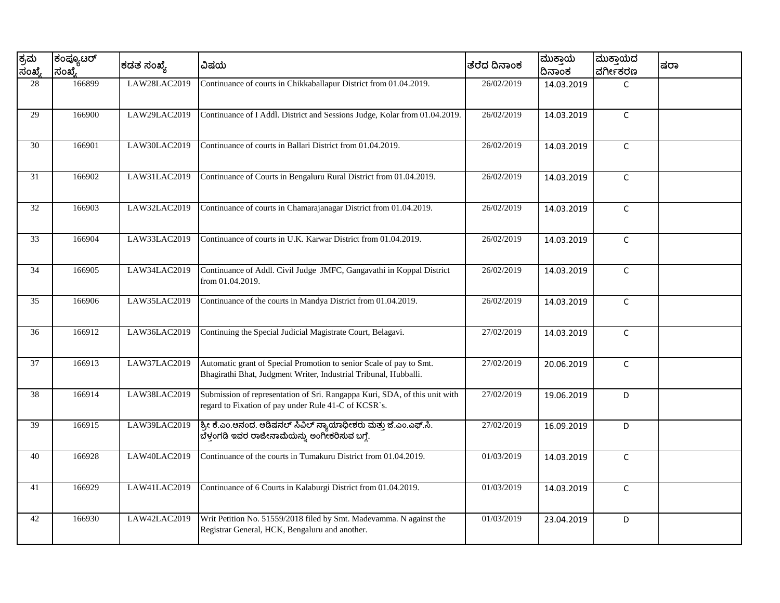| ಕ್ರಮ<br>ಸಂಖ್ಯೆ | ಕಂಪ್ಯೂಟರ್<br>ಸಂಖ್ಯೆ | ಕಡತ ಸಂಖ್ಯೆ   | ವಿಷಯ                                                                                                                                    | ತೆರೆದ ದಿನಾಂಕ | ಮುಕ್ತಾಯ<br>ದಿನಾಂಕ | ಮುಕ್ತಾಯದ<br>ವರ್ಗೀಕರಣ | ಷರಾ |
|----------------|---------------------|--------------|-----------------------------------------------------------------------------------------------------------------------------------------|--------------|-------------------|----------------------|-----|
| 28             | 166899              | LAW28LAC2019 | Continuance of courts in Chikkaballapur District from 01.04.2019.                                                                       | 26/02/2019   | 14.03.2019        | $\mathsf{C}$         |     |
| 29             | 166900              | LAW29LAC2019 | Continuance of I Addl. District and Sessions Judge, Kolar from 01.04.2019.                                                              | 26/02/2019   | 14.03.2019        | $\mathsf{C}$         |     |
| 30             | 166901              | LAW30LAC2019 | Continuance of courts in Ballari District from 01.04.2019.                                                                              | 26/02/2019   | 14.03.2019        | $\mathsf C$          |     |
| 31             | 166902              | LAW31LAC2019 | Continuance of Courts in Bengaluru Rural District from 01.04.2019.                                                                      | 26/02/2019   | 14.03.2019        | $\mathsf{C}$         |     |
| 32             | 166903              | LAW32LAC2019 | Continuance of courts in Chamarajanagar District from 01.04.2019.                                                                       | 26/02/2019   | 14.03.2019        | $\mathsf C$          |     |
| 33             | 166904              | LAW33LAC2019 | Continuance of courts in U.K. Karwar District from 01.04.2019.                                                                          | 26/02/2019   | 14.03.2019        | $\mathsf{C}$         |     |
| 34             | 166905              | LAW34LAC2019 | Continuance of Addl. Civil Judge JMFC, Gangavathi in Koppal District<br>from 01.04.2019.                                                | 26/02/2019   | 14.03.2019        | $\mathsf{C}$         |     |
| 35             | 166906              | LAW35LAC2019 | Continuance of the courts in Mandya District from 01.04.2019.                                                                           | 26/02/2019   | 14.03.2019        | $\mathsf C$          |     |
| 36             | 166912              | LAW36LAC2019 | Continuing the Special Judicial Magistrate Court, Belagavi.                                                                             | 27/02/2019   | 14.03.2019        | $\mathsf{C}$         |     |
| 37             | 166913              | LAW37LAC2019 | Automatic grant of Special Promotion to senior Scale of pay to Smt.<br>Bhagirathi Bhat, Judgment Writer, Industrial Tribunal, Hubballi. | 27/02/2019   | 20.06.2019        | $\mathsf{C}$         |     |
| 38             | 166914              | LAW38LAC2019 | Submission of representation of Sri. Rangappa Kuri, SDA, of this unit with<br>regard to Fixation of pay under Rule 41-C of KCSR`s.      | 27/02/2019   | 19.06.2019        | D                    |     |
| 39             | 166915              | LAW39LAC2019 | ಶ್ರೀ ಕೆ.ಎಂ.ಆನಂದ. ಅಡಿಷನಲ್ ಸಿವಿಲ್ ನ್ಯಾಯಾಧೀಶರು ಮತ್ತು ಜೆ.ಎಂ.ಎಫ್.ಸಿ.<br>ಬೆಳ್ತಂಗಡಿ ಇವರ ರಾಜೀನಾಮೆಯನ್ನು ಅಂಗೀಕರಿಸುವ ಬಗ್ಗೆ.                        | 27/02/2019   | 16.09.2019        | D                    |     |
| 40             | 166928              | LAW40LAC2019 | Continuance of the courts in Tumakuru District from 01.04.2019.                                                                         | 01/03/2019   | 14.03.2019        | $\mathsf{C}$         |     |
| 41             | 166929              | LAW41LAC2019 | Continuance of 6 Courts in Kalaburgi District from 01.04.2019.                                                                          | 01/03/2019   | 14.03.2019        | $\mathsf{C}$         |     |
| 42             | 166930              | LAW42LAC2019 | Writ Petition No. 51559/2018 filed by Smt. Madevamma. N against the<br>Registrar General, HCK, Bengaluru and another.                   | 01/03/2019   | 23.04.2019        | D                    |     |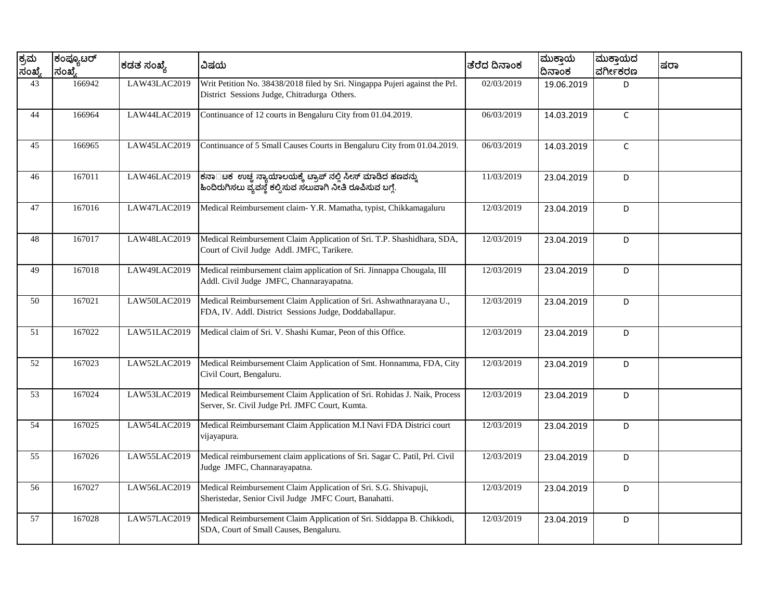| ಕ್ರಮ<br>ಸಂಖ್ಯೆ | ಕಂಪ್ಯೂಟರ್<br>ಸಂಖ್ಮೆ | ಕಡತ ಸಂಖ್ಯೆ   | ವಿಷಯ                                                                                                                          | ತೆರೆದ ದಿನಾಂಕ | ಮುಕ್ತಾಯ<br>ದಿನಾಂಕ | ಮುಕ್ತಾಯದ<br>ವರ್ಗೀಕರಣ | ಷರಾ |
|----------------|---------------------|--------------|-------------------------------------------------------------------------------------------------------------------------------|--------------|-------------------|----------------------|-----|
| 43             | 166942              | LAW43LAC2019 | Writ Petition No. 38438/2018 filed by Sri. Ningappa Pujeri against the Prl.<br>District Sessions Judge, Chitradurga Others.   | 02/03/2019   | 19.06.2019        | D.                   |     |
| 44             | 166964              | LAW44LAC2019 | Continuance of 12 courts in Bengaluru City from 01.04.2019.                                                                   | 06/03/2019   | 14.03.2019        | $\mathsf{C}$         |     |
| 45             | 166965              | LAW45LAC2019 | Continuance of 5 Small Causes Courts in Bengaluru City from 01.04.2019.                                                       | 06/03/2019   | 14.03.2019        | $\mathsf{C}$         |     |
| 46             | 167011              | LAW46LAC2019 | ಕನಾ□ಟಕ ಉಚ್ಚ ನ್ಯಾಯಾಲಯಕ್ಕೆ ಟ್ರಾಪ್ ನಲ್ಲಿ ಸೀಸ್ ಮಾಡಿದ ಹಣವನ್ನು<br> ಹಿಂದಿರುಗಿಸಲು ವ್ಯವಸ್ಥೆ ಕಲ್ಪಿಸುವ ಸಲುವಾಗಿ ನೀತಿ ರೂಪಿಸುವ ಬಗ್ಗೆ.       | 11/03/2019   | 23.04.2019        | D                    |     |
| 47             | 167016              | LAW47LAC2019 | Medical Reimbursement claim- Y.R. Mamatha, typist, Chikkamagaluru                                                             | 12/03/2019   | 23.04.2019        | D                    |     |
| 48             | 167017              | LAW48LAC2019 | Medical Reimbursement Claim Application of Sri. T.P. Shashidhara, SDA,<br>Court of Civil Judge Addl. JMFC, Tarikere.          | 12/03/2019   | 23.04.2019        | D                    |     |
| 49             | 167018              | LAW49LAC2019 | Medical reimbursement claim application of Sri. Jinnappa Chougala, III<br>Addl. Civil Judge JMFC, Channarayapatna.            | 12/03/2019   | 23.04.2019        | D                    |     |
| 50             | 167021              | LAW50LAC2019 | Medical Reimbursement Claim Application of Sri. Ashwathnarayana U.,<br>FDA, IV. Addl. District Sessions Judge, Doddaballapur. | 12/03/2019   | 23.04.2019        | D                    |     |
| 51             | 167022              | LAW51LAC2019 | Medical claim of Sri. V. Shashi Kumar, Peon of this Office.                                                                   | 12/03/2019   | 23.04.2019        | D                    |     |
| 52             | 167023              | LAW52LAC2019 | Medical Reimbursement Claim Application of Smt. Honnamma, FDA, City<br>Civil Court, Bengaluru.                                | 12/03/2019   | 23.04.2019        | D                    |     |
| 53             | 167024              | LAW53LAC2019 | Medical Reimbursement Claim Application of Sri. Rohidas J. Naik, Process<br>Server, Sr. Civil Judge Prl. JMFC Court, Kumta.   | 12/03/2019   | 23.04.2019        | D                    |     |
| 54             | 167025              | LAW54LAC2019 | Medical Reimbursemant Claim Application M.I Navi FDA Districi court<br>vijayapura.                                            | 12/03/2019   | 23.04.2019        | D                    |     |
| 55             | 167026              | LAW55LAC2019 | Medical reimbursement claim applications of Sri. Sagar C. Patil, Prl. Civil<br>Judge JMFC, Channarayapatna.                   | 12/03/2019   | 23.04.2019        | D                    |     |
| 56             | 167027              | LAW56LAC2019 | Medical Reimbursement Claim Application of Sri. S.G. Shivapuji,<br>Sheristedar, Senior Civil Judge JMFC Court, Banahatti.     | 12/03/2019   | 23.04.2019        | D                    |     |
| 57             | 167028              | LAW57LAC2019 | Medical Reimbursement Claim Application of Sri. Siddappa B. Chikkodi,<br>SDA, Court of Small Causes, Bengaluru.               | 12/03/2019   | 23.04.2019        | D                    |     |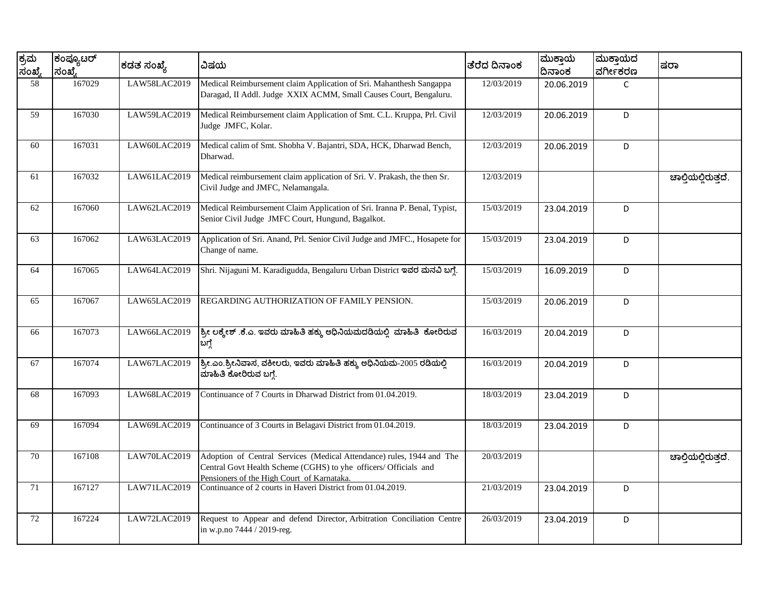| ಕ್ರಮ<br>ಸಂಖ್ಯೆ | ಕಂಪ್ಯೂಟರ್<br>ಸಂಖ್ಮೆ | ಕಡತ ಸಂಖ್ಯೆ   | ವಿಷಯ                                                                                                                                                                                    | ತೆರೆದ ದಿನಾಂಕ | ಮುಕಾಯ<br>ದಿನಾಂಕ | ಮುಕ್ತಾಯದ<br>ವರ್ಗೀಕರಣ | ಷರಾ                 |
|----------------|---------------------|--------------|-----------------------------------------------------------------------------------------------------------------------------------------------------------------------------------------|--------------|-----------------|----------------------|---------------------|
| 58             | 167029              | LAW58LAC2019 | Medical Reimbursement claim Application of Sri. Mahanthesh Sangappa<br>Daragad, II Addl. Judge XXIX ACMM, Small Causes Court, Bengaluru.                                                | 12/03/2019   | 20.06.2019      | $\mathsf{C}$         |                     |
| 59             | 167030              | LAW59LAC2019 | Medical Reimbursement claim Application of Smt. C.L. Kruppa, Prl. Civil<br>Judge JMFC, Kolar.                                                                                           | 12/03/2019   | 20.06.2019      | D                    |                     |
| 60             | 167031              | LAW60LAC2019 | Medical calim of Smt. Shobha V. Bajantri, SDA, HCK, Dharwad Bench,<br>Dharwad.                                                                                                          | 12/03/2019   | 20.06.2019      | D                    |                     |
| 61             | 167032              | LAW61LAC2019 | Medical reimbursement claim application of Sri. V. Prakash, the then Sr.<br>Civil Judge and JMFC, Nelamangala.                                                                          | 12/03/2019   |                 |                      | ಚಾಲ್ತಿಯಲ್ಲಿರುತ್ತದೆ. |
| 62             | 167060              | LAW62LAC2019 | Medical Reimbursement Claim Application of Sri. Iranna P. Benal, Typist,<br>Senior Civil Judge JMFC Court, Hungund, Bagalkot.                                                           | 15/03/2019   | 23.04.2019      | D                    |                     |
| 63             | 167062              | LAW63LAC2019 | Application of Sri. Anand, Prl. Senior Civil Judge and JMFC., Hosapete for<br>Change of name.                                                                                           | 15/03/2019   | 23.04.2019      | D                    |                     |
| 64             | 167065              | LAW64LAC2019 | Shri. Nijaguni M. Karadigudda, Bengaluru Urban District ಇವರ ಮನವಿ ಬಗ್ಗೆ.                                                                                                                 | 15/03/2019   | 16.09.2019      | D                    |                     |
| 65             | 167067              | LAW65LAC2019 | REGARDING AUTHORIZATION OF FAMILY PENSION.                                                                                                                                              | 15/03/2019   | 20.06.2019      | D                    |                     |
| 66             | 167073              | LAW66LAC2019 | ಶ್ರೀ ಲಕ್ಕೇಶ್ .ಕೆ.ಎ. ಇವರು ಮಾಹಿತಿ ಹಕ್ಕು ಅಧಿನಿಯಮದಡಿಯಲ್ಲಿ ಮಾಹಿತಿ ಕೋರಿರುವ<br>ಬಗ್ಗೆ                                                                                                           | 16/03/2019   | 20.04.2019      | D                    |                     |
| 67             | 167074              | LAW67LAC2019 | ಶ್ರೀ.ಎಂ.ಶ್ರೀನಿವಾಸ, ವಕೀಲರು, ಇವರು ಮಾಹಿತಿ ಹಕ್ಕು ಅಧಿನಿಯಮ-2005 ರಡಿಯಲ್ಲಿ<br>ಮಾಹಿತಿ ಕೋರಿರುವ ಬಗ್ಗೆ.                                                                                             | 16/03/2019   | 20.04.2019      | D                    |                     |
| 68             | 167093              | LAW68LAC2019 | Continuance of 7 Courts in Dharwad District from 01.04.2019.                                                                                                                            | 18/03/2019   | 23.04.2019      | D                    |                     |
| 69             | 167094              | LAW69LAC2019 | Continuance of 3 Courts in Belagavi District from 01.04.2019.                                                                                                                           | 18/03/2019   | 23.04.2019      | D                    |                     |
| 70             | 167108              | LAW70LAC2019 | Adoption of Central Services (Medical Attendance) rules, 1944 and The<br>Central Govt Health Scheme (CGHS) to yhe officers/ Officials and<br>Pensioners of the High Court of Karnataka. | 20/03/2019   |                 |                      | ಚಾಲ್ಗಿಯಲ್ಲಿರುತ್ತದೆ. |
| 71             | 167127              | LAW71LAC2019 | Continuance of 2 courts in Haveri District from 01.04.2019.                                                                                                                             | 21/03/2019   | 23.04.2019      | D                    |                     |
| 72             | 167224              | LAW72LAC2019 | Request to Appear and defend Director, Arbitration Conciliation Centre<br>in w.p.no 7444 / 2019-reg.                                                                                    | 26/03/2019   | 23.04.2019      | D                    |                     |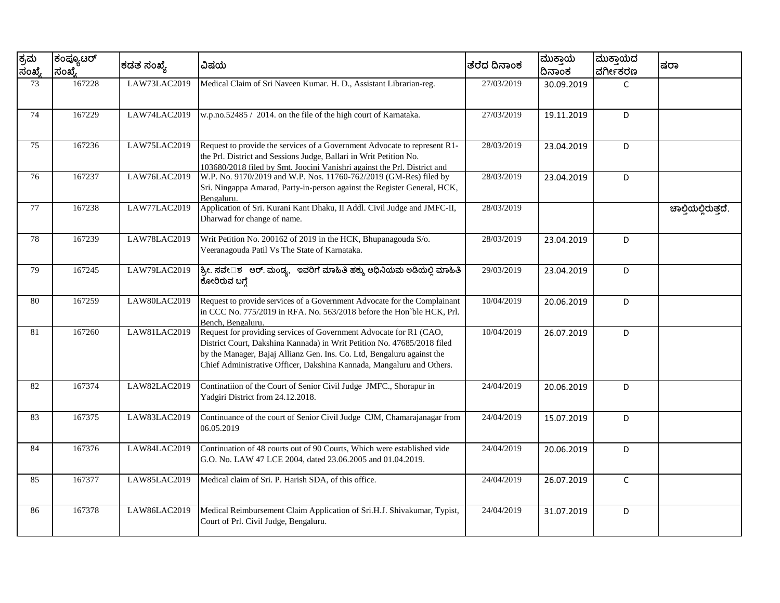| ಕ್ರಮ<br>ಸಂಖ್ಯೆ | ಕಂಪ್ಯೂಟರ್<br>ಸಂಖ್ಯೆ | ಕಡತ ಸಂಖ್ಯೆ   | ವಿಷಯ                                                                                                                                                                                                                                                                                             | ತೆರೆದ ದಿನಾಂಕ | ಮುಕ್ತಾಯ<br>ದಿನಾಂಕ | ಮುಕ್ತಾಯದ<br>ವರ್ಗೀಕರಣ | ಷರಾ                 |
|----------------|---------------------|--------------|--------------------------------------------------------------------------------------------------------------------------------------------------------------------------------------------------------------------------------------------------------------------------------------------------|--------------|-------------------|----------------------|---------------------|
| 73             | 167228              | LAW73LAC2019 | Medical Claim of Sri Naveen Kumar. H. D., Assistant Librarian-reg.                                                                                                                                                                                                                               | 27/03/2019   | 30.09.2019        | $\mathsf{C}$         |                     |
| 74             | 167229              | LAW74LAC2019 | w.p.no.52485 / 2014. on the file of the high court of Karnataka.                                                                                                                                                                                                                                 | 27/03/2019   | 19.11.2019        | D                    |                     |
| 75             | 167236              | LAW75LAC2019 | Request to provide the services of a Government Advocate to represent R1-<br>the Prl. District and Sessions Judge, Ballari in Writ Petition No.<br>103680/2018 filed by Smt. Joocini Vanishri against the Prl. District and                                                                      | 28/03/2019   | 23.04.2019        | D                    |                     |
| 76             | 167237              | LAW76LAC2019 | W.P. No. 9170/2019 and W.P. Nos. 11760-762/2019 (GM-Res) filed by<br>Sri. Ningappa Amarad, Party-in-person against the Register General, HCK,<br>Bengaluru.                                                                                                                                      | 28/03/2019   | 23.04.2019        | D                    |                     |
| 77             | 167238              | LAW77LAC2019 | Application of Sri. Kurani Kant Dhaku, II Addl. Civil Judge and JMFC-II,<br>Dharwad for change of name.                                                                                                                                                                                          | 28/03/2019   |                   |                      | ಚಾಲ್ತಿಯಲ್ಲಿರುತ್ತದೆ. |
| 78             | 167239              | LAW78LAC2019 | Writ Petition No. 200162 of 2019 in the HCK, Bhupanagouda S/o.<br>Veeranagouda Patil Vs The State of Karnataka.                                                                                                                                                                                  | 28/03/2019   | 23.04.2019        | D                    |                     |
| 79             | 167245              | LAW79LAC2019 | ಶ್ರೀ. ಸವೇ□ಶ ಆರ್. ಮಂಡ್ಯ, ಇವರಿಗೆ ಮಾಹಿತಿ ಹಕ್ಕು ಅಧಿನಿಯಮ ಅಡಿಯಲ್ಲಿ ಮಾಹಿತಿ<br>ಕೋರಿರುವ ಬಗ್ಗೆ                                                                                                                                                                                                             | 29/03/2019   | 23.04.2019        | D                    |                     |
| 80             | 167259              | LAW80LAC2019 | Request to provide services of a Government Advocate for the Complainant<br>in CCC No. $775/2019$ in RFA. No. $563/2018$ before the Hon ble HCK. Prl.<br>Bench, Bengaluru.                                                                                                                       | 10/04/2019   | 20.06.2019        | D                    |                     |
| 81             | 167260              | LAW81LAC2019 | Request for providing services of Government Advocate for R1 (CAO,<br>District Court, Dakshina Kannada) in Writ Petition No. 47685/2018 filed<br>by the Manager, Bajaj Allianz Gen. Ins. Co. Ltd, Bengaluru against the<br>Chief Administrative Officer, Dakshina Kannada, Mangaluru and Others. | 10/04/2019   | 26.07.2019        | D                    |                     |
| 82             | 167374              | LAW82LAC2019 | Continatiion of the Court of Senior Civil Judge JMFC., Shorapur in<br>Yadgiri District from 24.12.2018.                                                                                                                                                                                          | 24/04/2019   | 20.06.2019        | D                    |                     |
| 83             | 167375              | LAW83LAC2019 | Continuance of the court of Senior Civil Judge CJM, Chamarajanagar from<br>06.05.2019                                                                                                                                                                                                            | 24/04/2019   | 15.07.2019        | D                    |                     |
| 84             | 167376              | LAW84LAC2019 | Continuation of 48 courts out of 90 Courts, Which were established vide<br>G.O. No. LAW 47 LCE 2004, dated 23.06.2005 and 01.04.2019.                                                                                                                                                            | 24/04/2019   | 20.06.2019        | D                    |                     |
| 85             | 167377              | LAW85LAC2019 | Medical claim of Sri. P. Harish SDA, of this office.                                                                                                                                                                                                                                             | 24/04/2019   | 26.07.2019        | $\mathsf{C}$         |                     |
| 86             | 167378              | LAW86LAC2019 | Medical Reimbursement Claim Application of Sri.H.J. Shivakumar, Typist,<br>Court of Prl. Civil Judge, Bengaluru.                                                                                                                                                                                 | 24/04/2019   | 31.07.2019        | D                    |                     |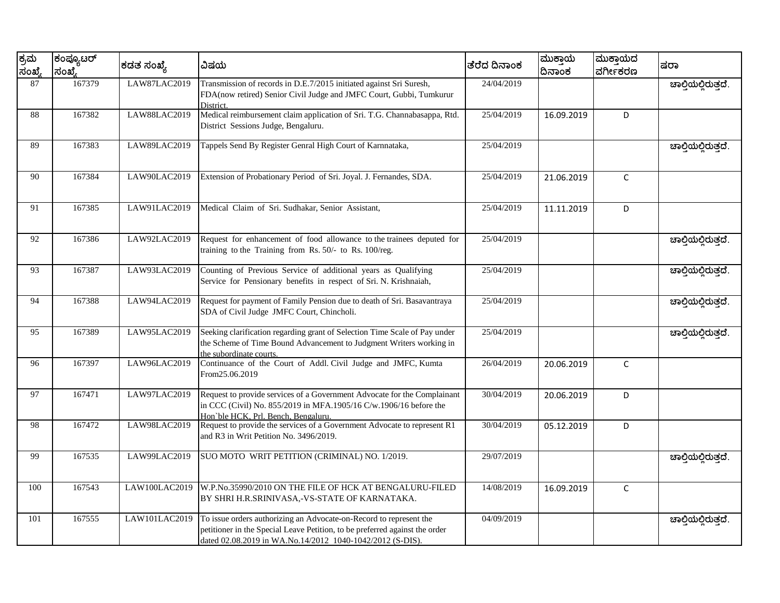| ಕ್ರಮ<br>ಸಂಖ್ಯೆ | ಕಂಪ್ಯೂಟರ್<br>ಸಂಖ್ಯೆ | ಕಡತ ಸಂಖ್ಯೆ          | ವಿಷಯ                                                                                                                                                                                                           | ತೆರೆದ ದಿನಾಂಕ | ಮುಕ್ತಾಯ<br>ದಿನಾಂಕ | ಮುಕ್ತಾಯದ<br>ವರ್ಗೀಕರಣ | ಷರಾ                 |
|----------------|---------------------|---------------------|----------------------------------------------------------------------------------------------------------------------------------------------------------------------------------------------------------------|--------------|-------------------|----------------------|---------------------|
| 87             | 167379              | LAW87LAC2019        | Transmission of records in D.E.7/2015 initiated against Sri Suresh,<br>FDA(now retired) Senior Civil Judge and JMFC Court, Gubbi, Tumkurur<br>District.                                                        | 24/04/2019   |                   |                      | ಚಾಲ್ತಿಯಲ್ಲಿರುತ್ತದೆ. |
| 88             | 167382              | <b>LAW88LAC2019</b> | Medical reimbursement claim application of Sri. T.G. Channabasappa, Rtd.<br>District Sessions Judge, Bengaluru.                                                                                                | 25/04/2019   | 16.09.2019        | D                    |                     |
| 89             | 167383              | LAW89LAC2019        | Tappels Send By Register Genral High Court of Karnnataka,                                                                                                                                                      | 25/04/2019   |                   |                      | ಚಾಲ್ತಿಯಲ್ಲಿರುತ್ತದೆ. |
| 90             | 167384              | LAW90LAC2019        | Extension of Probationary Period of Sri. Joyal. J. Fernandes, SDA.                                                                                                                                             | 25/04/2019   | 21.06.2019        | $\mathsf C$          |                     |
| 91             | 167385              | LAW91LAC2019        | Medical Claim of Sri. Sudhakar, Senior Assistant,                                                                                                                                                              | 25/04/2019   | 11.11.2019        | D                    |                     |
| 92             | 167386              | LAW92LAC2019        | Request for enhancement of food allowance to the trainees deputed for<br>training to the Training from Rs. 50/- to Rs. 100/reg.                                                                                | 25/04/2019   |                   |                      | ಚಾಲ್ತಿಯಲ್ಲಿರುತ್ತದೆ. |
| 93             | 167387              | LAW93LAC2019        | Counting of Previous Service of additional years as Qualifying<br>Service for Pensionary benefits in respect of Sri. N. Krishnaiah,                                                                            | 25/04/2019   |                   |                      | ಚಾಲ್ತಿಯಲ್ಲಿರುತ್ತದೆ. |
| 94             | 167388              | LAW94LAC2019        | Request for payment of Family Pension due to death of Sri. Basavantraya<br>SDA of Civil Judge JMFC Court, Chincholi.                                                                                           | 25/04/2019   |                   |                      | ಚಾಲ್ಗಿಯಲ್ಲಿರುತ್ತದೆ. |
| 95             | 167389              | LAW95LAC2019        | Seeking clarification regarding grant of Selection Time Scale of Pay under<br>the Scheme of Time Bound Advancement to Judgment Writers working in<br>the subordinate courts.                                   | 25/04/2019   |                   |                      | ಚಾಲ್ತಿಯಲ್ಲಿರುತ್ತದೆ. |
| 96             | 167397              | LAW96LAC2019        | Continuance of the Court of Addl. Civil Judge and JMFC, Kumta<br>From25.06.2019                                                                                                                                | 26/04/2019   | 20.06.2019        | $\mathsf C$          |                     |
| 97             | 167471              | LAW97LAC2019        | Request to provide services of a Government Advocate for the Complainant<br>in CCC (Civil) No. 855/2019 in MFA.1905/16 C/w.1906/16 before the<br>Hon'ble HCK, Prl. Bench, Bengaluru.                           | 30/04/2019   | 20.06.2019        | D                    |                     |
| 98             | 167472              | LAW98LAC2019        | Request to provide the services of a Government Advocate to represent R1<br>and R3 in Writ Petition No. 3496/2019.                                                                                             | 30/04/2019   | 05.12.2019        | D                    |                     |
| 99             | 167535              | LAW99LAC2019        | SUO MOTO WRIT PETITION (CRIMINAL) NO. 1/2019.                                                                                                                                                                  | 29/07/2019   |                   |                      | ಚಾಲ್ಲಿಯಲ್ಲಿರುತ್ತದೆ. |
| 100            | 167543              | LAW100LAC2019       | W.P.No.35990/2010 ON THE FILE OF HCK AT BENGALURU-FILED<br>BY SHRI H.R.SRINIVASA,-VS-STATE OF KARNATAKA.                                                                                                       | 14/08/2019   | 16.09.2019        | $\mathsf C$          |                     |
| 101            | 167555              | LAW101LAC2019       | To issue orders authorizing an Advocate-on-Record to represent the<br>petitioner in the Special Leave Petition, to be preferred against the order<br>dated 02.08.2019 in WA.No.14/2012 1040-1042/2012 (S-DIS). | 04/09/2019   |                   |                      | ಚಾಲ್ತಿಯಲ್ಲಿರುತ್ತದೆ. |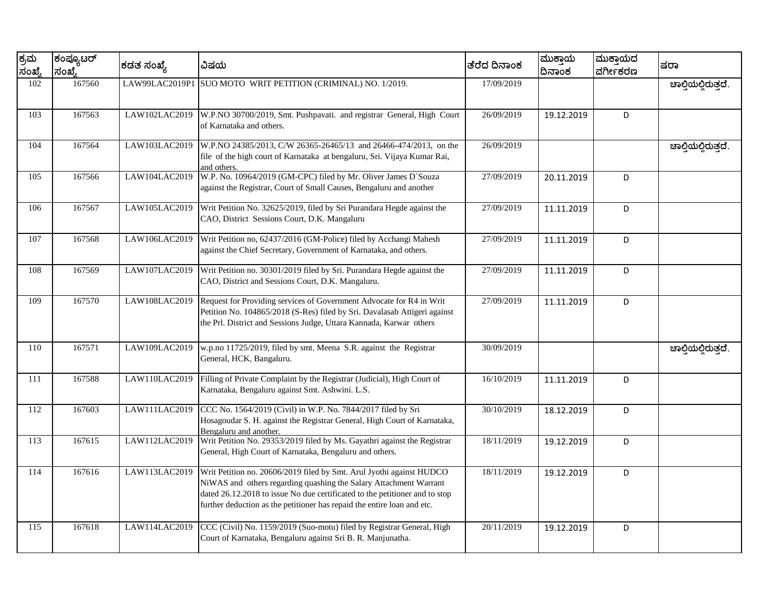| ಕ್ರಮ<br>ಸಂಖ್ಯೆ | ಕಂಪ್ಯೂಟರ್<br>ಸಂಖ್ಯೆ | ಕಡತ ಸಂಖ್ಯೆ     | ವಿಷಯ                                                                                                                                                                                                                                                                                                | ತೆರೆದ ದಿನಾಂಕ | ಮುಕ್ತಾಯ<br>ದಿನಾಂಕ | ಮುಕ್ತಾಯದ<br>ವರ್ಗೀಕರಣ | ಷರಾ                 |
|----------------|---------------------|----------------|-----------------------------------------------------------------------------------------------------------------------------------------------------------------------------------------------------------------------------------------------------------------------------------------------------|--------------|-------------------|----------------------|---------------------|
| 102            | 167560              | LAW99LAC2019P1 | SUO MOTO WRIT PETITION (CRIMINAL) NO. 1/2019.                                                                                                                                                                                                                                                       | 17/09/2019   |                   |                      | ಚಾಲ್ತಿಯಲ್ಲಿರುತ್ತದೆ. |
| 103            | 167563              | LAW102LAC2019  | W.P.NO 30700/2019, Smt. Pushpavati. and registrar General, High Court<br>of Karnataka and others.                                                                                                                                                                                                   | 26/09/2019   | 19.12.2019        | D                    |                     |
| 104            | 167564              | LAW103LAC2019  | W.P.NO 24385/2013, C/W 26365-26465/13 and 26466-474/2013, on the<br>file of the high court of Karnataka at bengaluru, Sri. Vijaya Kumar Rai,<br>and others.                                                                                                                                         | 26/09/2019   |                   |                      | ಚಾಲ್ತಿಯಲ್ಲಿರುತ್ತದೆ. |
| 105            | 167566              | LAW104LAC2019  | W.P. No. 10964/2019 (GM-CPC) filed by Mr. Oliver James D`Souza<br>against the Registrar, Court of Small Causes, Bengaluru and another                                                                                                                                                               | 27/09/2019   | 20.11.2019        | D                    |                     |
| 106            | 167567              | LAW105LAC2019  | Writ Petition No. 32625/2019, filed by Sri Purandara Hegde against the<br>CAO, District Sessions Court, D.K. Mangaluru                                                                                                                                                                              | 27/09/2019   | 11.11.2019        | D                    |                     |
| 107            | 167568              | LAW106LAC2019  | Writ Petition no, 62437/2016 (GM-Police) filed by Acchangi Mahesh<br>against the Chief Secretary, Government of Karnataka, and others.                                                                                                                                                              | 27/09/2019   | 11.11.2019        | D                    |                     |
| 108            | 167569              | LAW107LAC2019  | Writ Petition no. 30301/2019 filed by Sri. Purandara Hegde against the<br>CAO, District and Sessions Court, D.K. Mangaluru.                                                                                                                                                                         | 27/09/2019   | 11.11.2019        | D                    |                     |
| 109            | 167570              | LAW108LAC2019  | Request for Providing services of Government Advocate for R4 in Writ<br>Petition No. 104865/2018 (S-Res) filed by Sri. Davalasab Attigeri against<br>the Prl. District and Sessions Judge, Uttara Kannada, Karwar others                                                                            | 27/09/2019   | 11.11.2019        | D                    |                     |
| 110            | 167571              | LAW109LAC2019  | w.p.no 11725/2019, filed by smt. Meena S.R. against the Registrar<br>General, HCK, Bangaluru.                                                                                                                                                                                                       | 30/09/2019   |                   |                      | ಚಾಲ್ತಿಯಲ್ಲಿರುತ್ತದೆ. |
| 111            | 167588              | LAW110LAC2019  | Filling of Private Complaint by the Registrar (Judicial), High Court of<br>Karnataka, Bengaluru against Smt. Ashwini. L.S.                                                                                                                                                                          | 16/10/2019   | 11.11.2019        | D                    |                     |
| 112            | 167603              | LAW111LAC2019  | CCC No. 1564/2019 (Civil) in W.P. No. 7844/2017 filed by Sri<br>Hosagoudar S. H. against the Registrar General, High Court of Karnataka,<br>Bengaluru and another.                                                                                                                                  | 30/10/2019   | 18.12.2019        | D                    |                     |
| 113            | 167615              | LAW112LAC2019  | Writ Petition No. 29353/2019 filed by Ms. Gayathri against the Registrar<br>General, High Court of Karnataka, Bengaluru and others.                                                                                                                                                                 | 18/11/2019   | 19.12.2019        | D                    |                     |
| 114            | 167616              | LAW113LAC2019  | Writ Petition no. 20606/2019 filed by Smt. Arul Jyothi against HUDCO<br>NiWAS and others regarding quashing the Salary Attachment Warrant<br>dated 26.12.2018 to issue No due certificated to the petitioner and to stop<br>further deduction as the petitioner has repaid the entire loan and etc. | 18/11/2019   | 19.12.2019        | D                    |                     |
| 115            | 167618              | LAW114LAC2019  | CCC (Civil) No. 1159/2019 (Suo-motu) filed by Registrar General, High<br>Court of Karnataka, Bengaluru against Sri B. R. Manjunatha.                                                                                                                                                                | 20/11/2019   | 19.12.2019        | D                    |                     |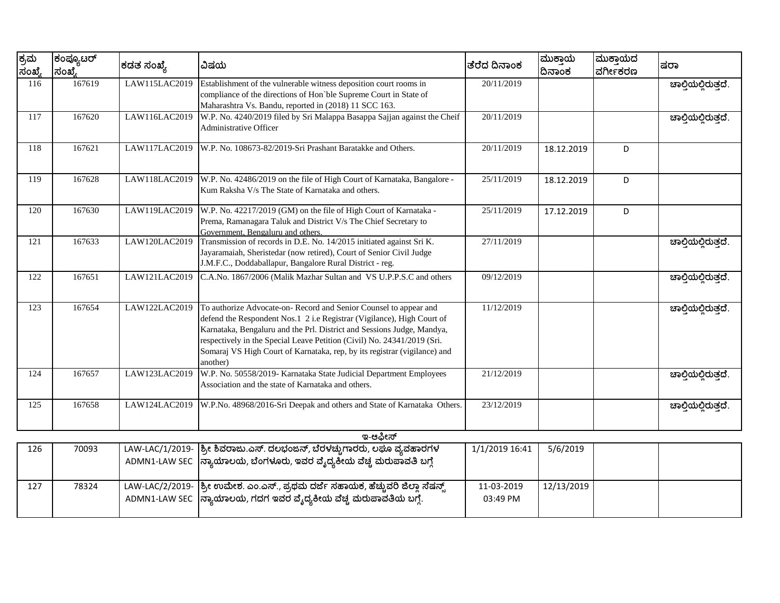| ಕ್ರಮ<br>ಸಂಖ್ಯೆ | ಕಂಪ್ಯೂಟರ್<br>ಸಂಖ್ಯೆ | ಕಡತ ಸಂಖ್ಯೆ    | ವಿಷಯ                                                                                                                                                                                                                                                                                                                                                                                     | ತರೆದ ದಿನಾಂಕ    | ಮುಕ್ತಾಯ<br>ದಿನಾಂಕ | ಮುಕ್ತಾಯದ<br>ವರ್ಗೀಕರಣ | ಷರಾ                 |
|----------------|---------------------|---------------|------------------------------------------------------------------------------------------------------------------------------------------------------------------------------------------------------------------------------------------------------------------------------------------------------------------------------------------------------------------------------------------|----------------|-------------------|----------------------|---------------------|
| 116            | 167619              | LAW115LAC2019 | Establishment of the vulnerable witness deposition court rooms in<br>compliance of the directions of Hon'ble Supreme Court in State of<br>Maharashtra Vs. Bandu, reported in (2018) 11 SCC 163.                                                                                                                                                                                          | 20/11/2019     |                   |                      | ಚಾಲ್ಲಿಯಲ್ಲಿರುತ್ತದೆ. |
| 117            | 167620              | LAW116LAC2019 | W.P. No. 4240/2019 filed by Sri Malappa Basappa Sajjan against the Cheif<br><b>Administrative Officer</b>                                                                                                                                                                                                                                                                                | 20/11/2019     |                   |                      | ಚಾಲ್ತಿಯಲ್ಲಿರುತ್ತದೆ. |
| 118            | 167621              | LAW117LAC2019 | W.P. No. 108673-82/2019-Sri Prashant Baratakke and Others.                                                                                                                                                                                                                                                                                                                               | 20/11/2019     | 18.12.2019        | D                    |                     |
| 119            | 167628              | LAW118LAC2019 | W.P. No. 42486/2019 on the file of High Court of Karnataka, Bangalore -<br>Kum Raksha V/s The State of Karnataka and others.                                                                                                                                                                                                                                                             | 25/11/2019     | 18.12.2019        | D                    |                     |
| 120            | 167630              | LAW119LAC2019 | W.P. No. 42217/2019 (GM) on the file of High Court of Karnataka -<br>Prema, Ramanagara Taluk and District V/s The Chief Secretary to<br>Government, Bengaluru and others.                                                                                                                                                                                                                | 25/11/2019     | 17.12.2019        | D                    |                     |
| 121            | 167633              | LAW120LAC2019 | Transmission of records in D.E. No. 14/2015 initiated against Sri K.<br>Jayaramaiah, Sheristedar (now retired), Court of Senior Civil Judge<br>J.M.F.C., Doddaballapur, Bangalore Rural District - reg.                                                                                                                                                                                  | 27/11/2019     |                   |                      | ಚಾಲ್ತಿಯಲ್ಲಿರುತ್ತದೆ. |
| 122            | 167651              | LAW121LAC2019 | C.A.No. 1867/2006 (Malik Mazhar Sultan and VS U.P.P.S.C and others                                                                                                                                                                                                                                                                                                                       | 09/12/2019     |                   |                      | ಚಾಲ್ತಿಯಲ್ಲಿರುತ್ತದೆ. |
| 123            | 167654              | LAW122LAC2019 | To authorize Advocate-on-Record and Senior Counsel to appear and<br>defend the Respondent Nos.1 2 i.e Registrar (Vigilance), High Court of<br>Karnataka, Bengaluru and the Prl. District and Sessions Judge, Mandya,<br>respectively in the Special Leave Petition (Civil) No. 24341/2019 (Sri.<br>Somaraj VS High Court of Karnataka, rep, by its registrar (vigilance) and<br>another) | 11/12/2019     |                   |                      | ಚಾಲ್ತಿಯಲ್ಲಿರುತ್ತದೆ. |
| 124            | 167657              | LAW123LAC2019 | W.P. No. 50558/2019- Karnataka State Judicial Department Employees<br>Association and the state of Karnataka and others.                                                                                                                                                                                                                                                                 | 21/12/2019     |                   |                      | ಚಾಲ್ತಿಯಲ್ಲಿರುತ್ತದೆ. |
| 125            | 167658              | LAW124LAC2019 | W.P.No. 48968/2016-Sri Deepak and others and State of Karnataka Others.                                                                                                                                                                                                                                                                                                                  | 23/12/2019     |                   |                      | ಚಾಲ್ತಿಯಲ್ಲಿರುತ್ತದೆ. |
|                |                     |               | ಇ-ಆಫೀಸ್                                                                                                                                                                                                                                                                                                                                                                                  |                |                   |                      |                     |
| 126            | 70093               |               | LAW-LAC/1/2019- ಶ್ರೀ ಶಿವರಾಜು.ಎಸ್. ದಲಭಂಜನ್, ಬೆರಳಚ್ಚುಗಾರರು, ಲಘೂ ವ್ಯವಹಾರಗಳ                                                                                                                                                                                                                                                                                                                  | 1/1/2019 16:41 | 5/6/2019          |                      |                     |
|                |                     |               | ADMN1-LAW SEC  ನ್ಯಾಯಾಲಯ, ಬೆಂಗಳೂರು, ಇವರ ವೈದ್ಯಕೀಯ ವೆಚ್ಚ ಮರುಪಾವತಿ ಬಗ್ಗೆ                                                                                                                                                                                                                                                                                                                     |                |                   |                      |                     |

11-03-2019 03:49 PM

12/13/2019

ಶ್ರೀ ಉಮೇಶ. ಎಂ.ಎಸ್., ಪ್ರಥಮ ದರ್ಜೆ ಸಹಾಯಕ, ಹೆಚ್ಚುವರಿ ಜಿಲ್ಲಾ ಸೆಷನ್ಸ್ ನ್ಯಾಯಾಲಯ, ಗದಗ ಇವರ ವೈದ್ಯಕೀಯ ವೆಚ್ಚ ಮರುಪಾವತಿಯ ಬಗ್ಗೆ.

127 78324 LAW-LAC/2/2019-

ADMN1-LAW SEC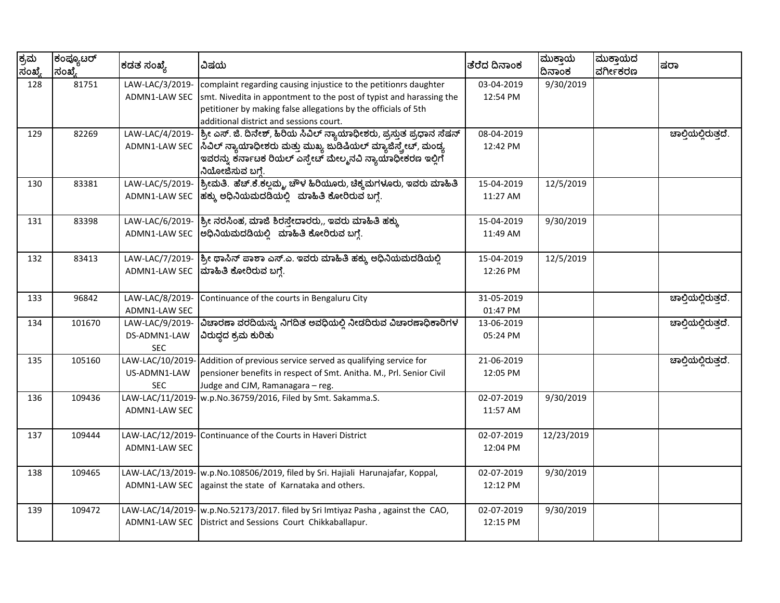| ಕ್ರಮ<br>ಸಂಖ್ಯೆ | ಕಂಪ್ಯೂಟರ್<br>ಸಂಖ್ಮೆ | ಕಡತ ಸಂಖ್ಯೆ                                    | ವಿಷಯ                                                                                                                                                                                                                                                 | ತೆರೆದ ದಿನಾಂಕ           | ಮುಕ್ತಾಯ<br>ದಿನಾಂಕ | ಮುಕ್ತಾಯದ<br>ವರ್ಗೀಕರಣ | ಷರಾ                 |
|----------------|---------------------|-----------------------------------------------|------------------------------------------------------------------------------------------------------------------------------------------------------------------------------------------------------------------------------------------------------|------------------------|-------------------|----------------------|---------------------|
| 128            | 81751               | LAW-LAC/3/2019-<br>ADMN1-LAW SEC              | complaint regarding causing injustice to the petitionrs daughter<br>smt. Nivedita in appontment to the post of typist and harassing the<br>petitioner by making false allegations by the officials of 5th<br>additional district and sessions court. | 03-04-2019<br>12:54 PM | 9/30/2019         |                      |                     |
| 129            | 82269               | LAW-LAC/4/2019-<br>ADMN1-LAW SEC              | ಶ್ರೀ ಎಸ್. ಜಿ. ದಿನೇಶ್, ಹಿರಿಯ ಸಿವಿಲ್ ನ್ಯಾಯಾಧೀಶರು, ಪ್ರಸ್ತುತ ಪ್ರಧಾನ ಸೆಷನ್<br> ಸಿವಿಲ್ ನ್ಯಾಯಾಧೀಶರು ಮತ್ತು ಮುಖ್ಯ ಜುಡಿಷಿಯಲ್ ಮ್ಯಾಜಿಸ್ಕ್ರೇಟ್, ಮಂಡ್ಯ<br>ಇವರನ್ನು ಕರ್ನಾಟಕ ರಿಯಲ್ ಎಸ್ಟೇಟ್ ಮೇಲ್ಮನವಿ ನ್ಯಾಯಾಧೀಕರಣ ಇಲ್ಲಿಗೆ<br>ನಿಯೋಜಿಸುವ ಬಗ್ಗೆ.                           | 08-04-2019<br>12:42 PM |                   |                      | ಚಾಲ್ತಿಯಲ್ಲಿರುತ್ತದೆ. |
| 130            | 83381               | LAW-LAC/5/2019-<br>ADMN1-LAW SEC              | ಶ್ರೀಮತಿ. ಹೆಚ್.ಕೆ.ಕಲ್ಲಮ್ಮ, ಚೌಳ ಹಿರಿಯೂರು, ಚಿಕ್ಕಮಗಳೂರು, ಇವರು ಮಾಹಿತಿ<br>ಹಕ್ಕು ಅಧಿನಿಯಮದಡಿಯಲ್ಲಿ ಮಾಹಿತಿ ಕೋರಿರುವ ಬಗ್ಗೆ.                                                                                                                                      | 15-04-2019<br>11:27 AM | 12/5/2019         |                      |                     |
| 131            | 83398               | LAW-LAC/6/2019-<br>ADMN1-LAW SEC              | ಶ್ರೀ ನರಸಿಂಹ, ಮಾಜಿ ಶಿರಸ್ತೇದಾರರು,, ಇವರು ಮಾಹಿತಿ ಹಕ್ಕು<br>ಅಧಿನಿಯಮದಡಿಯಲ್ಲಿ ಮಾಹಿತಿ ಕೋರಿರುವ ಬಗ್ಗೆ.                                                                                                                                                          | 15-04-2019<br>11:49 AM | 9/30/2019         |                      |                     |
| 132            | 83413               | LAW-LAC/7/2019-<br>ADMN1-LAW SEC              | ಶ್ರೀ ಥಾಸಿನ್ ಪಾಶಾ ಎಸ್.ಎ. ಇವರು ಮಾಹಿತಿ ಹಕ್ಕು ಅಧಿನಿಯಮದಡಿಯಲ್ಲಿ<br>ಮಾಹಿತಿ ಕೋರಿರುವ ಬಗ್ಗೆ.                                                                                                                                                                   | 15-04-2019<br>12:26 PM | 12/5/2019         |                      |                     |
| 133            | 96842               | LAW-LAC/8/2019-<br>ADMN1-LAW SEC              | Continuance of the courts in Bengaluru City                                                                                                                                                                                                          | 31-05-2019<br>01:47 PM |                   |                      | ಚಾಲ್ತಿಯಲ್ಲಿರುತ್ತದೆ. |
| 134            | 101670              | LAW-LAC/9/2019-<br>DS-ADMN1-LAW<br><b>SEC</b> | ವಿಚಾರಣಾ ವರದಿಯನ್ನು ನಿಗದಿತ ಅವಧಿಯಲ್ಲಿ ನೀಡದಿರುವ ವಿಚಾರಣಾಧಿಕಾರಿಗಳ<br>ವಿರುದ್ಧದ ಕ್ರಮ ಕುರಿತು                                                                                                                                                                  | 13-06-2019<br>05:24 PM |                   |                      | ಚಾಲ್ಗಿಯಲ್ಲಿರುತ್ತದೆ. |
| 135            | 105160              | LAW-LAC/10/2019<br>US-ADMN1-LAW<br><b>SEC</b> | Addition of previous service served as qualifying service for<br>pensioner benefits in respect of Smt. Anitha. M., Prl. Senior Civil<br>Judge and CJM, Ramanagara - reg.                                                                             | 21-06-2019<br>12:05 PM |                   |                      | ಚಾಲ್ತಿಯಲ್ಲಿರುತ್ತದೆ. |
| 136            | 109436              | LAW-LAC/11/2019<br>ADMN1-LAW SEC              | w.p.No.36759/2016, Filed by Smt. Sakamma.S.                                                                                                                                                                                                          | 02-07-2019<br>11:57 AM | 9/30/2019         |                      |                     |
| 137            | 109444              | LAW-LAC/12/2019-<br>ADMN1-LAW SEC             | Continuance of the Courts in Haveri District                                                                                                                                                                                                         | 02-07-2019<br>12:04 PM | 12/23/2019        |                      |                     |
| 138            | 109465              | LAW-LAC/13/2019-<br>ADMN1-LAW SEC             | w.p.No.108506/2019, filed by Sri. Hajiali Harunajafar, Koppal,<br>against the state of Karnataka and others.                                                                                                                                         | 02-07-2019<br>12:12 PM | 9/30/2019         |                      |                     |
| 139            | 109472              | LAW-LAC/14/2019-<br>ADMN1-LAW SEC             | w.p.No.52173/2017. filed by Sri Imtiyaz Pasha, against the CAO,<br>District and Sessions Court Chikkaballapur.                                                                                                                                       | 02-07-2019<br>12:15 PM | 9/30/2019         |                      |                     |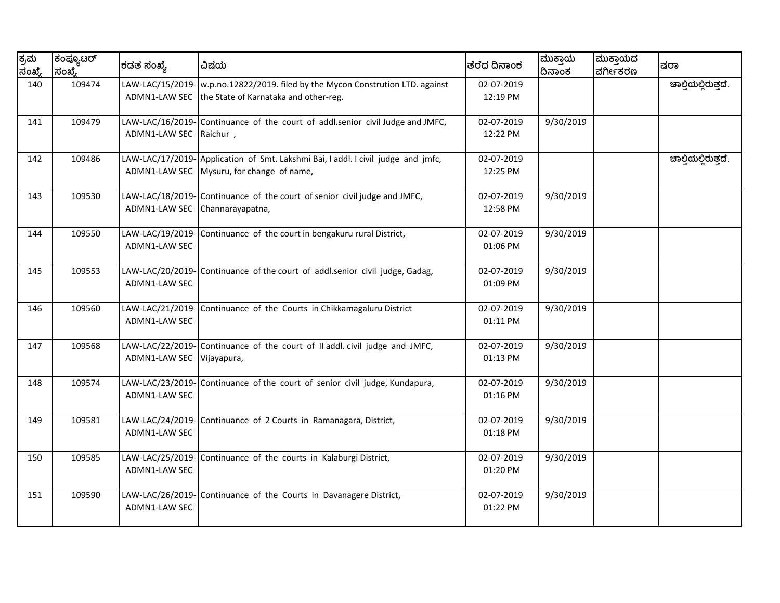| ಕ್ರಮ<br>ಸಂಖ್ಯೆ | ಕಂಪ್ಯೂಟರ್<br> ಸಂಖೆ. | ಕಡತ ಸಂಖ್ಯೆ                               | ವಿಷಯ                                                                                                    | ತೆರೆದ ದಿನಾಂಕ           | ಮುಕ್ತಾಯ<br>ದಿನಾಂಕ | ಮುಕ್ತಾಯದ<br>ವರ್ಗೀಕರಣ | ಷರಾ                 |
|----------------|---------------------|------------------------------------------|---------------------------------------------------------------------------------------------------------|------------------------|-------------------|----------------------|---------------------|
| 140            | 109474              | LAW-LAC/15/2019-<br>ADMN1-LAW SEC        | w.p.no.12822/2019. filed by the Mycon Constrution LTD. against<br>the State of Karnataka and other-reg. | 02-07-2019<br>12:19 PM |                   |                      | ಚಾಲ್ತಿಯಲ್ಲಿರುತ್ತದೆ. |
| 141            | 109479              | LAW-LAC/16/2019-<br>ADMN1-LAW SEC        | Continuance of the court of addl.senior civil Judge and JMFC,<br>Raichur,                               | 02-07-2019<br>12:22 PM | 9/30/2019         |                      |                     |
| 142            | 109486              | LAW-LAC/17/2019-<br>ADMN1-LAW SEC        | Application of Smt. Lakshmi Bai, I addl. I civil judge and jmfc,<br>Mysuru, for change of name,         | 02-07-2019<br>12:25 PM |                   |                      | ಚಾಲ್ತಿಯಲ್ಲಿರುತ್ತದೆ. |
| 143            | 109530              | LAW-LAC/18/2019-<br>ADMN1-LAW SEC        | Continuance of the court of senior civil judge and JMFC,<br>Channarayapatna,                            | 02-07-2019<br>12:58 PM | 9/30/2019         |                      |                     |
| 144            | 109550              | LAW-LAC/19/2019-<br>ADMN1-LAW SEC        | Continuance of the court in bengakuru rural District,                                                   | 02-07-2019<br>01:06 PM | 9/30/2019         |                      |                     |
| 145            | 109553              | LAW-LAC/20/2019-<br>ADMN1-LAW SEC        | Continuance of the court of addl.senior civil judge, Gadag,                                             | 02-07-2019<br>01:09 PM | 9/30/2019         |                      |                     |
| 146            | 109560              | LAW-LAC/21/2019-<br>ADMN1-LAW SEC        | Continuance of the Courts in Chikkamagaluru District                                                    | 02-07-2019<br>01:11 PM | 9/30/2019         |                      |                     |
| 147            | 109568              | LAW-LAC/22/2019-<br>ADMN1-LAW SEC        | Continuance of the court of II addl. civil judge and JMFC,<br>Vijayapura,                               | 02-07-2019<br>01:13 PM | 9/30/2019         |                      |                     |
| 148            | 109574              | LAW-LAC/23/2019-<br>ADMN1-LAW SEC        | Continuance of the court of senior civil judge, Kundapura,                                              | 02-07-2019<br>01:16 PM | 9/30/2019         |                      |                     |
| 149            | 109581              | LAW-LAC/24/2019-<br>ADMN1-LAW SEC        | Continuance of 2 Courts in Ramanagara, District,                                                        | 02-07-2019<br>01:18 PM | 9/30/2019         |                      |                     |
| 150            | 109585              | LAW-LAC/25/2019-<br><b>ADMN1-LAW SEC</b> | Continuance of the courts in Kalaburgi District,                                                        | 02-07-2019<br>01:20 PM | 9/30/2019         |                      |                     |
| 151            | 109590              | LAW-LAC/26/2019-<br>ADMN1-LAW SEC        | Continuance of the Courts in Davanagere District,                                                       | 02-07-2019<br>01:22 PM | 9/30/2019         |                      |                     |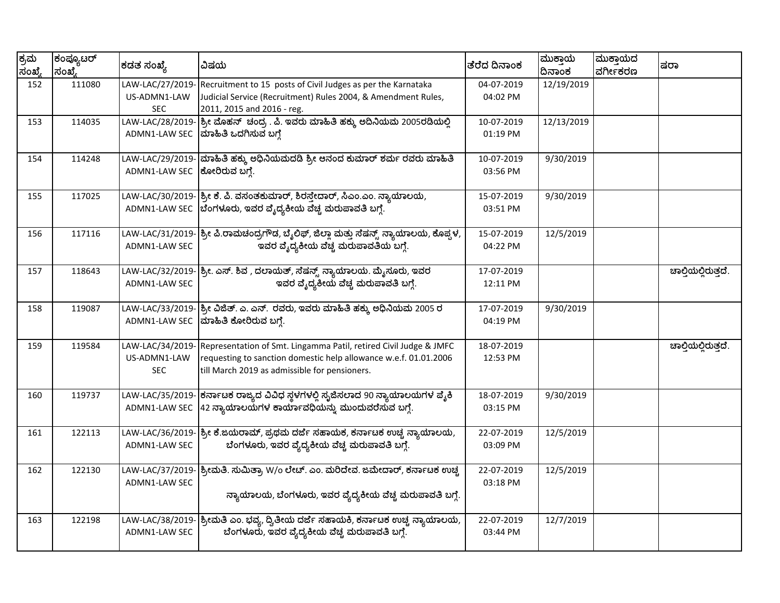| ಕ್ರಮ<br>ಸಂಖ್ಯೆ | ಕಂಪ್ಯೂಟರ್<br>ಸಂಖ್ಯೆ | ಕಡತ ಸಂಖ್ಯೆ                                     | ವಿಷಯ                                                                                                                                                                                   | ತೆರೆದ ದಿನಾಂಕ           | ಮುಕ್ತಾಯ<br>ದಿನಾಂಕ | ಮುಕ್ತಾಯದ<br>ವರ್ಗೀಕರಣ | ಷರಾ                 |
|----------------|---------------------|------------------------------------------------|----------------------------------------------------------------------------------------------------------------------------------------------------------------------------------------|------------------------|-------------------|----------------------|---------------------|
| 152            | 111080              | LAW-LAC/27/2019-<br>US-ADMN1-LAW<br><b>SEC</b> | Recruitment to 15 posts of Civil Judges as per the Karnataka<br>Judicial Service (Recruitment) Rules 2004, & Amendment Rules,<br>2011, 2015 and 2016 - reg.                            | 04-07-2019<br>04:02 PM | 12/19/2019        |                      |                     |
| 153            | 114035              | LAW-LAC/28/2019-<br>ADMN1-LAW SEC              | ಶ್ರೀ ಮೊಹನ್ ಚಂದ್ರ . ಪಿ. ಇವರು ಮಾಹಿತಿ ಹಕ್ಕು ಅದಿನಿಯಮ 2005ರಡಿಯಲ್ಲಿ<br>ಮಾಹಿತಿ ಒದಗಿಸುವ ಬಗ್ಗೆ                                                                                                  | 10-07-2019<br>01:19 PM | 12/13/2019        |                      |                     |
| 154            | 114248              | LAW-LAC/29/2019-<br>ADMN1-LAW SEC              | ಮಾಹಿತಿ ಹಕ್ಕು ಅಧಿನಿಯಮದಡಿ ಶ್ರೀ ಆನಂದ ಕುಮಾರ್ ಶರ್ಮ ರವರು ಮಾಹಿತಿ<br>ಕೋರಿರುವ ಬಗ್ಗೆ.                                                                                                            | 10-07-2019<br>03:56 PM | 9/30/2019         |                      |                     |
| 155            | 117025              |                                                | LAW-LAC/30/2019- ಶ್ರೀ ಕೆ. ಪಿ. ವಸಂತಕುಮಾರ್, ಶಿರಸ್ತೇದಾರ್, ಸಿಎಂ.ಎಂ. ನ್ಯಾಯಾಲಯ,<br>ADMN1-LAW SEC  ಬೆಂಗಳೂರು, ಇವರ ವೈದ್ಯಕೀಯ ವೆಚ್ಚ ಮರುಪಾವತಿ ಬಗ್ಗೆ.                                               | 15-07-2019<br>03:51 PM | 9/30/2019         |                      |                     |
| 156            | 117116              | ADMN1-LAW SEC                                  | LAW-LAC/31/2019- ಶ್ರೀ ಪಿ.ರಾಮಚಂದ್ರಗೌಡ, ಬೈಲಿಫ್, ಜಿಲ್ಲಾ ಮತ್ತು ಸೆಷನ್ಸ್ ನ್ಯಾಯಾಲಯ, ಕೊಪ್ಪಳ,<br>ಇವರ ವೈದ್ಯಕೀಯ ವೆಚ್ಚ ಮರುಪಾವತಿಯ ಬಗ್ಗೆ.                                                            | 15-07-2019<br>04:22 PM | 12/5/2019         |                      |                     |
| 157            | 118643              | ADMN1-LAW SEC                                  | LAW-LAC/32/2019- <mark>ಶ್ರೀ. ಎಸ್. ಶಿವ , ದಲಾಯತ್, ಸೆಷನ್ಸ್ ನ್ಯಾಯಾಲಯ. ಮೈಸೂರು, ಇವರ</mark><br>ಇವರ ವೈದ್ಯಕೀಯ ವೆಚ್ಚ ಮರುಪಾವತಿ ಬಗ್ಗೆ.                                                             | 17-07-2019<br>12:11 PM |                   |                      | ಚಾಲ್ತಿಯಲ್ಲಿರುತ್ತದೆ. |
| 158            | 119087              | LAW-LAC/33/2019-<br>ADMN1-LAW SEC              | ಶ್ರೀ ವಿಜಿತ್. ಎ. ಎನ್. ರವರು, ಇವರು ಮಾಹಿತಿ ಹಕ್ಕು ಅಧಿನಿಯಮ 2005 ರ<br>ಮಾಹಿತಿ ಕೋರಿರುವ ಬಗ್ಗೆ.                                                                                                   | 17-07-2019<br>04:19 PM | 9/30/2019         |                      |                     |
| 159            | 119584              | LAW-LAC/34/2019-<br>US-ADMN1-LAW<br><b>SEC</b> | Representation of Smt. Lingamma Patil, retired Civil Judge & JMFC<br>requesting to sanction domestic help allowance w.e.f. 01.01.2006<br>till March 2019 as admissible for pensioners. | 18-07-2019<br>12:53 PM |                   |                      | ಚಾಲ್ತಿಯಲ್ಲಿರುತ್ತದೆ. |
| 160            | 119737              | LAW-LAC/35/2019-<br>ADMN1-LAW SEC              | ಕರ್ನಾಟಕ ರಾಜ್ಯದ ವಿವಿಧ ಸ್ಥಳಗಳಲ್ಲಿ ಸೃಜಿಸಲಾದ 90 ನ್ಯಾಯಾಲಯಗಳ ಪೈಕಿ<br>42 ನ್ಯಾಯಾಲಯಗಳ ಕಾರ್ಯಾವಧಿಯನ್ನು ಮುಂದುವರೆಸುವ ಬಗ್ಗೆ.                                                                         | 18-07-2019<br>03:15 PM | 9/30/2019         |                      |                     |
| 161            | 122113              | LAW-LAC/36/2019-<br>ADMN1-LAW SEC              | ಶ್ರೀ ಕೆ.ಜಯರಾಮ್, ಪ್ರಥಮ ದರ್ಜೆ ಸಹಾಯಕ, ಕರ್ನಾಟಕ ಉಚ್ಚ ನ್ಯಾಯಾಲಯ,<br>ಬೆಂಗಳೂರು, ಇವರ ವ್ಯೆದ್ಯಕೀಯ ವೆಚ್ಚ ಮರುಪಾವತಿ ಬಗ್ಗೆ.                                                                            | 22-07-2019<br>03:09 PM | 12/5/2019         |                      |                     |
| 162            | 122130              | LAW-LAC/37/2019-<br>ADMN1-LAW SEC              | ಶ್ರೀಮತಿ. ಸುಮಿತ್ರಾ W/o ಲೇಟ್. ಎಂ. ಮರಿದೇವೆ. ಜಮೇದಾರ್, ಕರ್ನಾಟಕ ಉಚ್ಚ<br>ನ್ಯಾಯಾಲಯ, ಬೆಂಗಳೂರು, ಇವರ ವ್ಯೆದ್ಯಕೀಯ ವೆಚ್ಚ ಮರುಪಾವತಿ ಬಗ್ಗೆ.                                                             | 22-07-2019<br>03:18 PM | 12/5/2019         |                      |                     |
| 163            | 122198              | LAW-LAC/38/2019-<br>ADMN1-LAW SEC              | ಶ್ರೀಮತಿ ಎಂ. ಭವ್ಯ, ದ್ವಿತೀಯ ದರ್ಜೆ ಸಹಾಯಕಿ, ಕರ್ನಾಟಕ ಉಚ್ಚ ನ್ಯಾಯಾಲಯ,<br>ಬೆಂಗಳೂರು, ಇವರ ವೈದ್ಯಕೀಯ ವೆಚ್ಚ ಮರುಪಾವತಿ ಬಗ್ಗೆ.                                                                         | 22-07-2019<br>03:44 PM | 12/7/2019         |                      |                     |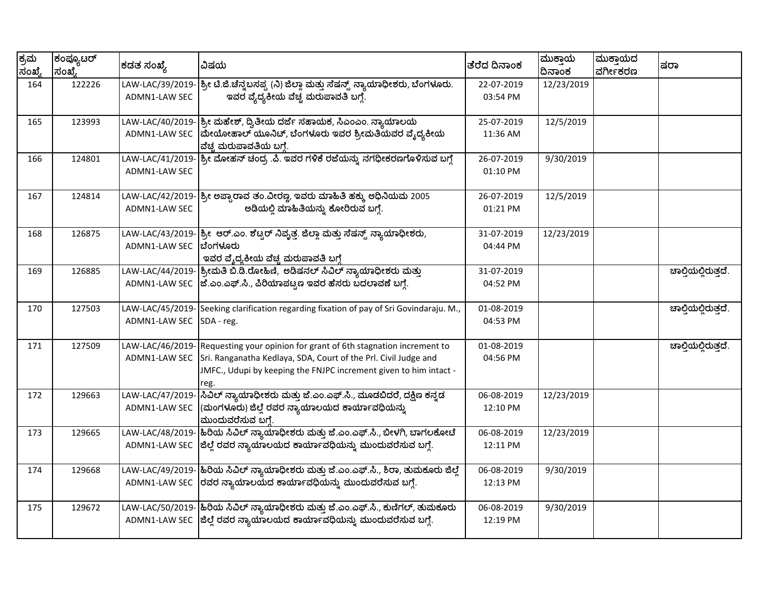| ಕ್ರಮ<br>ಸಂಖ್ಯೆ | ಕಂಪ್ಯೂಟರ್<br>ಸಂಖ್ಯೆ | ಕಡತ ಸಂಖ್ಯೆ                        | ವಿಷಯ                                                                                                                                                                                                             | ತೆರೆದ ದಿನಾಂಕ           | ಮುಕ್ತಾಯ<br>ದಿನಾಂಕ | ಮುಕ್ತಾಯದ<br>ವರ್ಗೀಕರಣ | ಷರಾ                 |
|----------------|---------------------|-----------------------------------|------------------------------------------------------------------------------------------------------------------------------------------------------------------------------------------------------------------|------------------------|-------------------|----------------------|---------------------|
| 164            | 122226              | LAW-LAC/39/2019-<br>ADMN1-LAW SEC | ಶ್ರೀ ಟಿ.ಜಿ.ಚೆನ್ನಬಸಪ್ಪ (ನಿ) ಜಿಲ್ಲಾ ಮತ್ತು ಸೆಷನ್ಸ್ ನ್ಯಾಯಾಧೀಶರು, ಬೆಂಗಳೂರು.<br>ಇವರ ವೈದ್ಯಕೀಯ ವೆಚ್ಚ ಮರುಪಾವತಿ ಬಗ್ಗೆ.                                                                                                     | 22-07-2019<br>03:54 PM | 12/23/2019        |                      |                     |
| 165            | 123993              | LAW-LAC/40/2019-<br>ADMN1-LAW SEC | ಶ್ರೀ ಮೆಹೇಶ್, ದ್ವಿತೀಯ ದರ್ಜೆ ಸಹಾಯಕ, ಸಿಎಂಎಂ. ನ್ಯಾಯಾಲಯ<br>ಮೇಯೋಹಾಲ್ ಯೂನಿಟ್, ಬೆಂಗಳೂರು ಇವರ ಶ್ರೀಮತಿಯವರ ವೈದ್ಯಕೀಯ<br>ವೆಚ್ಚ ಮರುಪಾವತಿಯ ಬಗ್ಗೆ.                                                                                | 25-07-2019<br>11:36 AM | 12/5/2019         |                      |                     |
| 166            | 124801              | LAW-LAC/41/2019-<br>ADMN1-LAW SEC | ಶ್ರೀ ಮೋಹನ್ ಚಂದ್ರ .ಪಿ. ಇವರ ಗಳಿಕೆ ರಜೆಯನ್ನು ನಗಧೀಕರಣಗೊಳಿಸುವ ಬಗ್ಗೆ                                                                                                                                                    | 26-07-2019<br>01:10 PM | 9/30/2019         |                      |                     |
| 167            | 124814              | LAW-LAC/42/2019-<br>ADMN1-LAW SEC | ಶ್ರೀ ಅಪ್ಪಾರಾವ ತಂ.ವೀರಣ್ಣ, ಇವರು ಮಾಹಿತಿ ಹಕ್ಕು ಅಧಿನಿಯಮ 2005<br>ಅಡಿಯಲ್ಲಿ ಮಾಹಿತಿಯನ್ನು ಕೋರಿರುವ ಬಗ್ಗೆ.                                                                                                                   | 26-07-2019<br>01:21 PM | 12/5/2019         |                      |                     |
| 168            | 126875              | LAW-LAC/43/2019-<br>ADMN1-LAW SEC | ಶ್ರೀ ಆರ್.ಎಂ. ಶೆಟ್ಟರ್ ನಿವೃತ್ತ. ಜಿಲ್ಲಾ ಮತ್ತು ಸೆಷನ್ಸ್ ನ್ಯಾಯಾಧೀಶರು,<br>ಬೆಂಗಳೂರು<br>ಇವರ ವೈದ್ಯಕೀಯ ವೆಚ್ಚ ಮರುಪಾವತಿ ಬಗ್ಗೆ                                                                                                 | 31-07-2019<br>04:44 PM | 12/23/2019        |                      |                     |
| 169            | 126885              | ADMN1-LAW SEC                     | LAW-LAC/44/2019- ಶ್ರೀಮತಿ ಬಿ.ಡಿ.ರೋಹಿಣಿ, ಅಡಿಷನಲ್ ಸಿವಿಲ್ ನ್ಯಾಯಾಧೀಶರು ಮತ್ತು<br> ಜೆ.ಎಂ.ಎಫ್.ಸಿ., ಪಿರಿಯಾಪಟ್ಟಣ ಇವರ ಹೆಸರು ಬದಲಾವಣೆ ಬಗ್ಗೆ.                                                                                  | 31-07-2019<br>04:52 PM |                   |                      | ಚಾಲ್ತಿಯಲ್ಲಿರುತ್ತದೆ. |
| 170            | 127503              | LAW-LAC/45/2019-<br>ADMN1-LAW SEC | Seeking clarification regarding fixation of pay of Sri Govindaraju. M.,<br>SDA - reg.                                                                                                                            | 01-08-2019<br>04:53 PM |                   |                      | ಚಾಲ್ತಿಯಲ್ಲಿರುತ್ತದೆ. |
| 171            | 127509              | LAW-LAC/46/2019-<br>ADMN1-LAW SEC | Requesting your opinion for grant of 6th stagnation increment to<br>Sri. Ranganatha Kedlaya, SDA, Court of the Prl. Civil Judge and<br>JMFC., Udupi by keeping the FNJPC increment given to him intact -<br>reg. | 01-08-2019<br>04:56 PM |                   |                      | ಚಾಲ್ಗಿಯಲ್ಲಿರುತ್ತದೆ. |
| 172            | 129663              | LAW-LAC/47/2019-<br>ADMN1-LAW SEC | ಸಿವಿಲ್ ನ್ಯಾಯಾಧೀಶರು ಮತ್ತು ಜೆ.ಎಂ.ಎಫ್.ಸಿ., ಮೂಡಬಿದರೆ, ದಕ್ಷಿಣ ಕನ್ನಡ<br>(ಮಂಗಳೂರು) ಜಿಲ್ಲೆ ರವರ ನ್ಯಾಯಾಲಯದ ಕಾರ್ಯಾವಧಿಯನ್ನು<br>ಮುಂದುವರೆಸುವ ಬಗ್ಗೆ.                                                                            | 06-08-2019<br>12:10 PM | 12/23/2019        |                      |                     |
| 173            | 129665              | ADMN1-LAW SEC                     | LAW-LAC/48/2019- <mark>ಹಿರಿಯ ಸಿವಿಲ್ ನ್ಯಾಯಾಧೀಶರು ಮತ್ತು ಜೆ.ಎಂ.ಎಫ್.ಸಿ., ಬೀಳಗಿ, ಬಾಗಲಕೋಟೆ</mark><br> ಜಿಲ್ಲೆ ರವರ ನ್ಯಾಯಾಲಯದ ಕಾರ್ಯಾವಧಿಯನ್ನು ಮುಂದುವರೆಸುವ ಬಗ್ಗೆ.                                                           | 06-08-2019<br>12:11 PM | 12/23/2019        |                      |                     |
| 174            | 129668              | ADMN1-LAW SEC                     | LAW-LAC/49/2019-  ಹಿರಿಯ ಸಿವಿಲ್ ನ್ಯಾಯಾಧೀಶರು ಮತ್ತು ಜೆ.ಎಂ.ಎಫ್.ಸಿ., ಶಿರಾ, ತುಮಕೂರು ಜಿಲ್ಲೆ<br>ರವರ ನ್ಯಾಯಾಲಯದ ಕಾರ್ಯಾವಧಿಯನ್ನು ಮುಂದುವರೆಸುವ ಬಗ್ಗೆ.                                                                          | 06-08-2019<br>12:13 PM | 9/30/2019         |                      |                     |
| 175            | 129672              | ADMN1-LAW SEC                     | LAW-LAC/50/2019- <mark>ಹಿರಿಯ ಸಿವಿಲ್ ನ್ಯಾಯಾಧೀಶರು ಮತ್ತು ಜೆ.ಎಂ.ಎಫ್.ಸಿ., ಕುಣಿಗಲ್, ತುಮಕೂರು</mark><br> ಜಿಲ್ಲೆ ರವರ ನ್ಯಾಯಾಲಯದ ಕಾರ್ಯಾವಧಿಯನ್ನು ಮುಂದುವರೆಸುವ ಬಗ್ಗೆ.                                                          | 06-08-2019<br>12:19 PM | 9/30/2019         |                      |                     |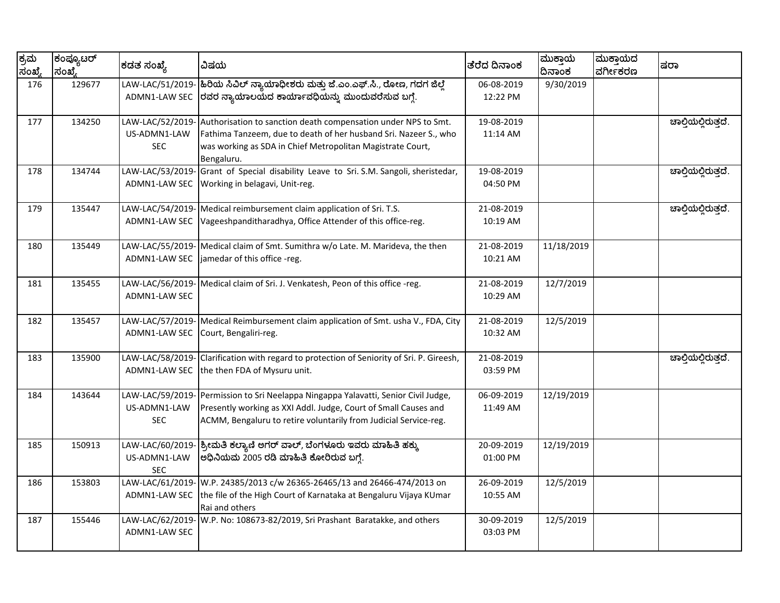| ಕ್ರಮ<br>ಸಂಖ್ಯೆ | ಕಂಪ್ಯೂಟರ್<br>ಸಂಖ್ಯೆ | ಕಡತ ಸಂಖ್ಯೆ                                     | ವಿಷಯ                                                                                                                                                                                                           | ತೆರೆದ ದಿನಾಂಕ                         | ಮುಕ್ತಾಯ<br>ದಿನಾಂಕ | ಮುಕ್ತಾಯದ<br>ವರ್ಗೀಕರಣ | ಷರಾ                 |
|----------------|---------------------|------------------------------------------------|----------------------------------------------------------------------------------------------------------------------------------------------------------------------------------------------------------------|--------------------------------------|-------------------|----------------------|---------------------|
| 176            | 129677              | LAW-LAC/51/2019-<br>ADMN1-LAW SEC              | ಹಿರಿಯ ಸಿವಿಲ್ ನ್ಯಾಯಾಧೀಶರು ಮತ್ತು ಜೆ.ಎಂ.ಎಫ್.ಸಿ., ರೋಣ, ಗದಗ ಜಿಲ್ಲೆ<br> ರವರ ನ್ಯಾಯಾಲಯದ ಕಾರ್ಯಾವಧಿಯನ್ನು ಮುಂದುವರೆಸುವ ಬಗ್ಗೆ.                                                                                              | 06-08-2019<br>12:22 PM               | 9/30/2019         |                      |                     |
| 177            | 134250              | LAW-LAC/52/2019-<br>US-ADMN1-LAW<br><b>SEC</b> | Authorisation to sanction death compensation under NPS to Smt.<br>Fathima Tanzeem, due to death of her husband Sri. Nazeer S., who<br>was working as SDA in Chief Metropolitan Magistrate Court,<br>Bengaluru. | 19-08-2019<br>11:14 AM               |                   |                      | ಚಾಲ್ತಿಯಲ್ಲಿರುತ್ತದೆ. |
| 178            | 134744              | LAW-LAC/53/2019-<br>ADMN1-LAW SEC              | Grant of Special disability Leave to Sri. S.M. Sangoli, sheristedar,<br>Working in belagavi, Unit-reg.                                                                                                         | 19-08-2019<br>04:50 PM               |                   |                      | ಚಾಲ್ಗಿಯಲ್ಲಿರುತ್ತದೆ. |
| 179            | 135447              | LAW-LAC/54/2019-<br>ADMN1-LAW SEC              | Medical reimbursement claim application of Sri. T.S.<br>Vageeshpanditharadhya, Office Attender of this office-reg.                                                                                             | $\overline{21}$ -08-2019<br>10:19 AM |                   |                      | ಚಾಲ್ತಿಯಲ್ಲಿರುತ್ತದೆ. |
| 180            | 135449              | LAW-LAC/55/2019-<br>ADMN1-LAW SEC              | Medical claim of Smt. Sumithra w/o Late. M. Marideva, the then<br>jamedar of this office -reg.                                                                                                                 | 21-08-2019<br>10:21 AM               | 11/18/2019        |                      |                     |
| 181            | 135455              | LAW-LAC/56/2019-<br>ADMN1-LAW SEC              | Medical claim of Sri. J. Venkatesh, Peon of this office -reg.                                                                                                                                                  | 21-08-2019<br>10:29 AM               | 12/7/2019         |                      |                     |
| 182            | 135457              | LAW-LAC/57/2019-<br>ADMN1-LAW SEC              | Medical Reimbursement claim application of Smt. usha V., FDA, City<br>Court, Bengaliri-reg.                                                                                                                    | 21-08-2019<br>10:32 AM               | 12/5/2019         |                      |                     |
| 183            | 135900              | LAW-LAC/58/2019-<br>ADMN1-LAW SEC              | Clarification with regard to protection of Seniority of Sri. P. Gireesh,<br>the then FDA of Mysuru unit.                                                                                                       | 21-08-2019<br>03:59 PM               |                   |                      | ಚಾಲ್ತಿಯಲ್ಲಿರುತ್ತದೆ. |
| 184            | 143644              | LAW-LAC/59/2019-<br>US-ADMN1-LAW<br><b>SEC</b> | Permission to Sri Neelappa Ningappa Yalavatti, Senior Civil Judge,<br>Presently working as XXI Addl. Judge, Court of Small Causes and<br>ACMM, Bengaluru to retire voluntarily from Judicial Service-reg.      | 06-09-2019<br>11:49 AM               | 12/19/2019        |                      |                     |
| 185            | 150913              | LAW-LAC/60/2019-<br>US-ADMN1-LAW<br><b>SEC</b> | ಶ್ರೀಮತಿ ಕಲ್ಯಾಣಿ ಅಗರ್ ವಾಲ್, ಬೆಂಗಳೂರು ಇವರು ಮಾಹಿತಿ ಹಕ್ಕು<br>ಅಧಿನಿಯಮ 2005 ರಡಿ ಮಾಹಿತಿ ಕೋರಿರುವ ಬಗ್ಗೆ.                                                                                                                | 20-09-2019<br>01:00 PM               | 12/19/2019        |                      |                     |
| 186            | 153803              | LAW-LAC/61/2019-<br>ADMN1-LAW SEC              | W.P. 24385/2013 c/w 26365-26465/13 and 26466-474/2013 on<br>the file of the High Court of Karnataka at Bengaluru Vijaya KUmar<br>Rai and others                                                                | 26-09-2019<br>10:55 AM               | 12/5/2019         |                      |                     |
| 187            | 155446              | LAW-LAC/62/2019-<br>ADMN1-LAW SEC              | W.P. No: 108673-82/2019, Sri Prashant Baratakke, and others                                                                                                                                                    | 30-09-2019<br>03:03 PM               | 12/5/2019         |                      |                     |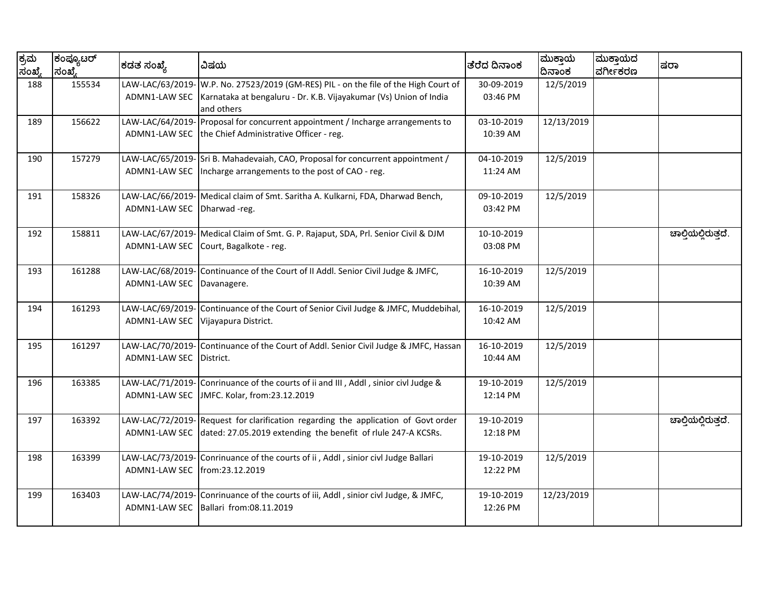| ಕ್ರಮ<br>ಸಂಖ್ಯೆ | ಕಂಪ್ಯೂಟರ್<br> ಸಂಖೆ, | ಕಡತ ಸಂಖ್ಯೆ       | ವಿಷಯ                                                                            | ತೆರೆದ ದಿನಾಂಕ | ಮುಕ್ತಾಯ<br>ದಿನಾಂಕ | ಮುಕ್ತಾಯದ<br>ವರ್ಗೀಕರಣ | ಷರಾ                 |
|----------------|---------------------|------------------|---------------------------------------------------------------------------------|--------------|-------------------|----------------------|---------------------|
| 188            | 155534              | LAW-LAC/63/2019- | W.P. No. 27523/2019 (GM-RES) PIL - on the file of the High Court of             | 30-09-2019   | 12/5/2019         |                      |                     |
|                |                     | ADMN1-LAW SEC    | Karnataka at bengaluru - Dr. K.B. Vijayakumar (Vs) Union of India<br>and others | 03:46 PM     |                   |                      |                     |
| 189            | 156622              | LAW-LAC/64/2019- | Proposal for concurrent appointment / Incharge arrangements to                  | 03-10-2019   | 12/13/2019        |                      |                     |
|                |                     | ADMN1-LAW SEC    | the Chief Administrative Officer - reg.                                         | 10:39 AM     |                   |                      |                     |
| 190            | 157279              |                  | LAW-LAC/65/2019- Sri B. Mahadevaiah, CAO, Proposal for concurrent appointment / | 04-10-2019   | 12/5/2019         |                      |                     |
|                |                     | ADMN1-LAW SEC    | Incharge arrangements to the post of CAO - reg.                                 | 11:24 AM     |                   |                      |                     |
| 191            | 158326              | LAW-LAC/66/2019- | Medical claim of Smt. Saritha A. Kulkarni, FDA, Dharwad Bench,                  | 09-10-2019   | 12/5/2019         |                      |                     |
|                |                     | ADMN1-LAW SEC    | Dharwad-reg.                                                                    | 03:42 PM     |                   |                      |                     |
| 192            | 158811              | LAW-LAC/67/2019- | Medical Claim of Smt. G. P. Rajaput, SDA, Prl. Senior Civil & DJM               | 10-10-2019   |                   |                      | ಚಾಲ್ತಿಯಲ್ಲಿರುತ್ತದೆ. |
|                |                     | ADMN1-LAW SEC    | Court, Bagalkote - reg.                                                         | 03:08 PM     |                   |                      |                     |
| 193            | 161288              | LAW-LAC/68/2019- | Continuance of the Court of II Addl. Senior Civil Judge & JMFC,                 | 16-10-2019   | 12/5/2019         |                      |                     |
|                |                     | ADMN1-LAW SEC    | Davanagere.                                                                     | 10:39 AM     |                   |                      |                     |
| 194            | 161293              | LAW-LAC/69/2019- | Continuance of the Court of Senior Civil Judge & JMFC, Muddebihal,              | 16-10-2019   | 12/5/2019         |                      |                     |
|                |                     | ADMN1-LAW SEC    | Vijayapura District.                                                            | 10:42 AM     |                   |                      |                     |
| 195            | 161297              | LAW-LAC/70/2019- | Continuance of the Court of Addl. Senior Civil Judge & JMFC, Hassan             | 16-10-2019   | 12/5/2019         |                      |                     |
|                |                     | ADMN1-LAW SEC    | District.                                                                       | 10:44 AM     |                   |                      |                     |
| 196            | 163385              | LAW-LAC/71/2019- | Conrinuance of the courts of ii and III, Addl, sinior civl Judge &              | 19-10-2019   | 12/5/2019         |                      |                     |
|                |                     | ADMN1-LAW SEC    | JMFC. Kolar, from:23.12.2019                                                    | 12:14 PM     |                   |                      |                     |
| 197            | 163392              | LAW-LAC/72/2019- | Request for clarification regarding the application of Govt order               | 19-10-2019   |                   |                      | ಚಾಲ್ತಿಯಲ್ಲಿರುತ್ತದೆ. |
|                |                     | ADMN1-LAW SEC    | dated: 27.05.2019 extending the benefit of rlule 247-A KCSRs.                   | 12:18 PM     |                   |                      |                     |
| 198            | 163399              | LAW-LAC/73/2019- | Conrinuance of the courts of ii, Addl, sinior civl Judge Ballari                | 19-10-2019   | 12/5/2019         |                      |                     |
|                |                     | ADMN1-LAW SEC    | from:23.12.2019                                                                 | 12:22 PM     |                   |                      |                     |
| 199            | 163403              | LAW-LAC/74/2019- | Conrinuance of the courts of iii, Addl, sinior civl Judge, & JMFC,              | 19-10-2019   | 12/23/2019        |                      |                     |
|                |                     | ADMN1-LAW SEC    | Ballari from:08.11.2019                                                         | 12:26 PM     |                   |                      |                     |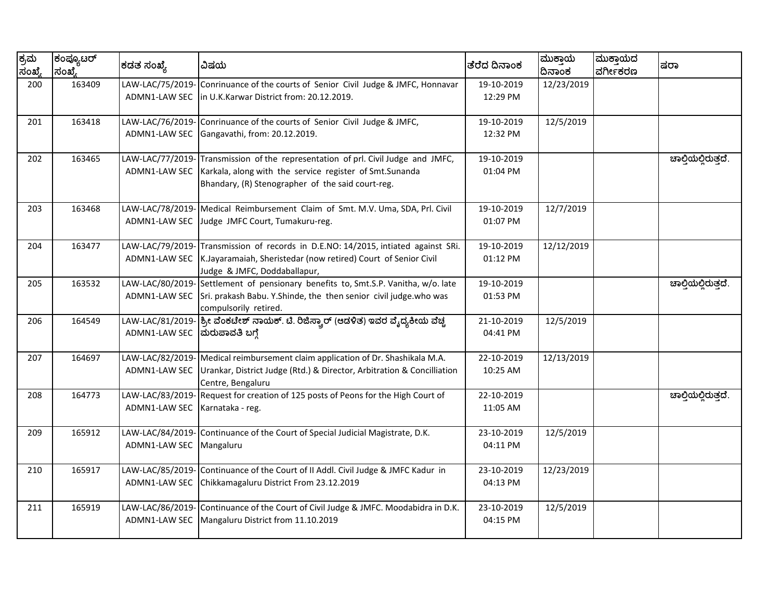| ಕ್ರಮ<br>ಸಂಖ್ಯೆ | ಕಂಪ್ಯೂಟರ್<br> ಸಂಖೆ, | ಕಡತ ಸಂಖ್ಯೆ                               | ವಿಷಯ                                                                                                                                                                             | ತೆರೆದ ದಿನಾಂಕ           | ಮುಕ್ತಾಯ<br>ದಿನಾಂಕ | ಮುಕ್ತಾಯದ<br>ವರ್ಗೀಕರಣ | ಷರಾ                 |
|----------------|---------------------|------------------------------------------|----------------------------------------------------------------------------------------------------------------------------------------------------------------------------------|------------------------|-------------------|----------------------|---------------------|
| 200            | 163409              | LAW-LAC/75/2019<br>ADMN1-LAW SEC         | Conrinuance of the courts of Senior Civil Judge & JMFC, Honnavar<br>in U.K.Karwar District from: 20.12.2019.                                                                     | 19-10-2019<br>12:29 PM | 12/23/2019        |                      |                     |
| 201            | 163418              | LAW-LAC/76/2019-<br>ADMN1-LAW SEC        | Conrinuance of the courts of Senior Civil Judge & JMFC,<br>Gangavathi, from: 20.12.2019.                                                                                         | 19-10-2019<br>12:32 PM | 12/5/2019         |                      |                     |
| 202            | 163465              | LAW-LAC/77/2019-<br>ADMN1-LAW SEC        | Transmission of the representation of prl. Civil Judge and JMFC,<br>Karkala, along with the service register of Smt.Sunanda<br>Bhandary, (R) Stenographer of the said court-reg. | 19-10-2019<br>01:04 PM |                   |                      | ಚಾಲ್ತಿಯಲ್ಲಿರುತ್ತದೆ. |
| 203            | 163468              | LAW-LAC/78/2019-<br>ADMN1-LAW SEC        | Medical Reimbursement Claim of Smt. M.V. Uma, SDA, Prl. Civil<br>Judge JMFC Court, Tumakuru-reg.                                                                                 | 19-10-2019<br>01:07 PM | 12/7/2019         |                      |                     |
| 204            | 163477              | LAW-LAC/79/2019-<br><b>ADMN1-LAW SEC</b> | Transmission of records in D.E.NO: 14/2015, intiated against SRi.<br>K.Jayaramaiah, Sheristedar (now retired) Court of Senior Civil<br>Judge & JMFC, Doddaballapur,              | 19-10-2019<br>01:12 PM | 12/12/2019        |                      |                     |
| 205            | 163532              | LAW-LAC/80/2019-<br>ADMN1-LAW SEC        | Settlement of pensionary benefits to, Smt.S.P. Vanitha, w/o. late<br>Sri. prakash Babu. Y. Shinde, the then senior civil judge. who was<br>compulsorily retired.                 | 19-10-2019<br>01:53 PM |                   |                      | ಚಾಲ್ತಿಯಲ್ಲಿರುತ್ತದೆ. |
| 206            | 164549              | LAW-LAC/81/2019-<br>ADMN1-LAW SEC        | ಶ್ರೀ ವೆಂಕಟೇಶ್ ನಾಯಕ್. ಟಿ. ರಿಜಿಸ್ಟ್ರಾರ್ (ಆಡಳಿತ) ಇವರ ವೈದ್ಯಕೀಯ ವೆಚ್ಚ<br>ಮರುಪಾವತಿ ಬಗ್ಗೆ                                                                                               | 21-10-2019<br>04:41 PM | 12/5/2019         |                      |                     |
| 207            | 164697              | LAW-LAC/82/2019-<br>ADMN1-LAW SEC        | Medical reimbursement claim application of Dr. Shashikala M.A.<br>Urankar, District Judge (Rtd.) & Director, Arbitration & Concilliation<br>Centre, Bengaluru                    | 22-10-2019<br>10:25 AM | 12/13/2019        |                      |                     |
| 208            | 164773              | LAW-LAC/83/2019-<br>ADMN1-LAW SEC        | Request for creation of 125 posts of Peons for the High Court of<br>Karnataka - reg.                                                                                             | 22-10-2019<br>11:05 AM |                   |                      | ಚಾಲ್ತಿಯಲ್ಲಿರುತ್ತದೆ. |
| 209            | 165912              | LAW-LAC/84/2019-<br>ADMN1-LAW SEC        | Continuance of the Court of Special Judicial Magistrate, D.K.<br>Mangaluru                                                                                                       | 23-10-2019<br>04:11 PM | 12/5/2019         |                      |                     |
| 210            | 165917              | LAW-LAC/85/2019-<br>ADMN1-LAW SEC        | Continuance of the Court of II Addl. Civil Judge & JMFC Kadur in<br>Chikkamagaluru District From 23.12.2019                                                                      | 23-10-2019<br>04:13 PM | 12/23/2019        |                      |                     |
| 211            | 165919              | LAW-LAC/86/2019-<br>ADMN1-LAW SEC        | Continuance of the Court of Civil Judge & JMFC. Moodabidra in D.K.<br>Mangaluru District from 11.10.2019                                                                         | 23-10-2019<br>04:15 PM | 12/5/2019         |                      |                     |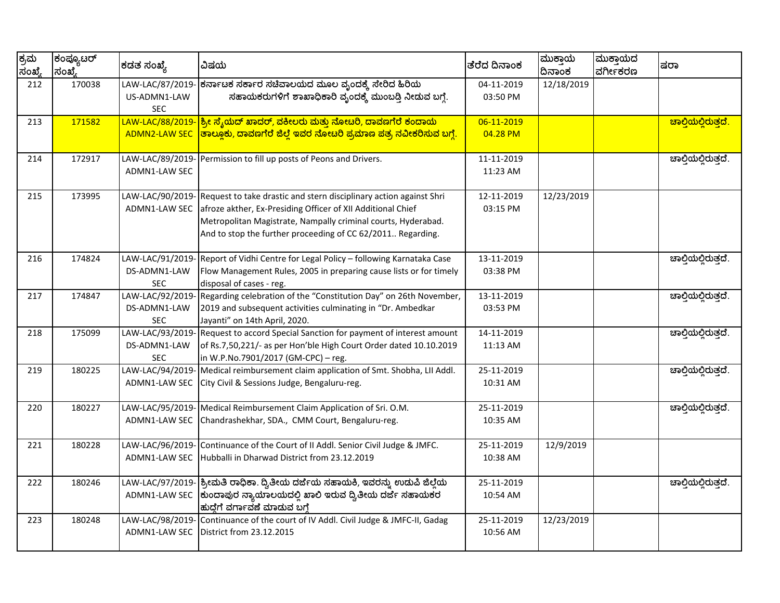| ಕ್ರಮ<br>ಸಂಖ್ಯೆ | ಕಂಪ್ಯೂಟರ್<br>ಸಂಖ್ಯೆ | ಕಡತ ಸಂಖ್ಯೆ                                     | ವಿಷಯ                                                                                                                                                                                                                                                              | ತೆರೆದ ದಿನಾಂಕ             | ಮುಕ್ತಾಯ<br>ದಿನಾಂಕ | ಮುಕ್ತಾಯದ<br>ವರ್ಗೀಕರಣ | ಷರಾ                              |
|----------------|---------------------|------------------------------------------------|-------------------------------------------------------------------------------------------------------------------------------------------------------------------------------------------------------------------------------------------------------------------|--------------------------|-------------------|----------------------|----------------------------------|
| 212            | 170038              | LAW-LAC/87/2019<br>US-ADMN1-LAW<br>SEC.        | ಕರ್ನಾಟಕ ಸರ್ಕಾರ ಸಚಿವಾಲಯದ ಮೂಲ ವೃಂದಕ್ಕೆ ಸೇರಿದ ಹಿರಿಯ<br>ಸಹಾಯಕರುಗಳಿಗೆ ಶಾಖಾಧಿಕಾರಿ ವೃಂದಕ್ಕೆ ಮುಂಬಡ್ತಿ ನೀಡುವ ಬಗ್ಗೆ.                                                                                                                                                        | 04-11-2019<br>03:50 PM   | 12/18/2019        |                      |                                  |
| 213            | 171582              | LAW-LAC/88/2019-<br><b>ADMN2-LAW SEC</b>       | <mark>ಶ್ರೀ ಸ್ಶೆಯದ್ ಖಾದರ್, ವಕೀಲರು ಮತ್ತು ನೋಟರಿ, ದಾವಣಗೆರೆ ಕಂದಾಯ</mark><br>ತಾಲ್ಲೂಕು, ದಾವಣಗೆರೆ ಜಿಲ್ಲೆ ಇವರ ನೋಟರಿ ಪ್ರಮಾಣ ಪತ್ರ ನವೀಕರಿಸುವ ಬಗ್ಗೆ.                                                                                                                           | 06-11-2019<br>04.28 PM   |                   |                      | <mark>ಚಾಲ್ಲಿಯಲ್ಲಿರುತ್ತದೆ.</mark> |
| 214            | 172917              | LAW-LAC/89/2019-<br>ADMN1-LAW SEC              | Permission to fill up posts of Peons and Drivers.                                                                                                                                                                                                                 | 11-11-2019<br>11:23 AM   |                   |                      | ಚಾಲ್ತಿಯಲ್ಲಿರುತ್ತದೆ.              |
| 215            | 173995              | LAW-LAC/90/2019-<br>ADMN1-LAW SEC              | Request to take drastic and stern disciplinary action against Shri<br>afroze akther, Ex-Presiding Officer of XII Additional Chief<br>Metropolitan Magistrate, Nampally criminal courts, Hyderabad.<br>And to stop the further proceeding of CC 62/2011 Regarding. | 12-11-2019<br>03:15 PM   | 12/23/2019        |                      |                                  |
| 216            | 174824              | LAW-LAC/91/2019-<br>DS-ADMN1-LAW<br><b>SEC</b> | Report of Vidhi Centre for Legal Policy - following Karnataka Case<br>Flow Management Rules, 2005 in preparing cause lists or for timely<br>disposal of cases - reg.                                                                                              | 13-11-2019<br>03:38 PM   |                   |                      | ಚಾಲ್ತಿಯಲ್ಲಿರುತ್ತದೆ.              |
| 217            | 174847              | LAW-LAC/92/2019<br>DS-ADMN1-LAW<br><b>SEC</b>  | Regarding celebration of the "Constitution Day" on 26th November,<br>2019 and subsequent activities culminating in "Dr. Ambedkar<br>Jayanti" on 14th April, 2020.                                                                                                 | $13-11-2019$<br>03:53 PM |                   |                      | ಚಾಲ್ತಿಯಲ್ಲಿರುತ್ತದೆ.              |
| 218            | 175099              | LAW-LAC/93/2019<br>DS-ADMN1-LAW<br><b>SEC</b>  | Request to accord Special Sanction for payment of interest amount<br>of Rs.7,50,221/- as per Hon'ble High Court Order dated 10.10.2019<br>in W.P.No.7901/2017 (GM-CPC) - reg.                                                                                     | 14-11-2019<br>11:13 AM   |                   |                      | ಚಾಲ್ಗಿಯಲ್ಲಿರುತ್ತದೆ.              |
| 219            | 180225              | LAW-LAC/94/2019-<br>ADMN1-LAW SEC              | Medical reimbursement claim application of Smt. Shobha, LII Addl.<br>City Civil & Sessions Judge, Bengaluru-reg.                                                                                                                                                  | 25-11-2019<br>10:31 AM   |                   |                      | ಚಾಲ್ತಿಯಲ್ಲಿರುತ್ತದೆ.              |
| 220            | 180227              | LAW-LAC/95/2019-<br><b>ADMN1-LAW SEC</b>       | Medical Reimbursement Claim Application of Sri. O.M.<br>Chandrashekhar, SDA., CMM Court, Bengaluru-reg.                                                                                                                                                           | 25-11-2019<br>10:35 AM   |                   |                      | ಚಾಲ್ಗಿಯಲ್ಲಿರುತ್ತದೆ.              |
| 221            | 180228              | LAW-LAC/96/2019-<br>ADMN1-LAW SEC              | Continuance of the Court of II Addl. Senior Civil Judge & JMFC.<br>Hubballi in Dharwad District from 23.12.2019                                                                                                                                                   | 25-11-2019<br>10:38 AM   | 12/9/2019         |                      |                                  |
| 222            | 180246              | LAW-LAC/97/2019-<br>ADMN1-LAW SEC              | ಶ್ರೀಮತಿ ರಾಧಿಕಾ. ದ್ವಿತೀಯ ದರ್ಜೆಯ ಸಹಾಯಕಿ, ಇವರನ್ನು ಉಡುಪಿ ಜಿಲ್ಲೆಯ<br>ಕುಂದಾಪುರ ನ್ಯಾಯಾಲಯದಲ್ಲಿ ಖಾಲಿ ಇರುವ ದ್ವಿತೀಯ ದರ್ಜೆ ಸಹಾಯಕರ<br>ಹುದ್ದೆಗೆ ವರ್ಗಾವಣೆ ಮಾಡುವ ಬಗ್ಗೆ                                                                                                            | 25-11-2019<br>10:54 AM   |                   |                      | ಚಾಲ್ತಿಯಲ್ಲಿರುತ್ತದೆ.              |
| 223            | 180248              | LAW-LAC/98/2019-<br>ADMN1-LAW SEC              | Continuance of the court of IV Addl. Civil Judge & JMFC-II, Gadag<br>District from 23.12.2015                                                                                                                                                                     | 25-11-2019<br>10:56 AM   | 12/23/2019        |                      |                                  |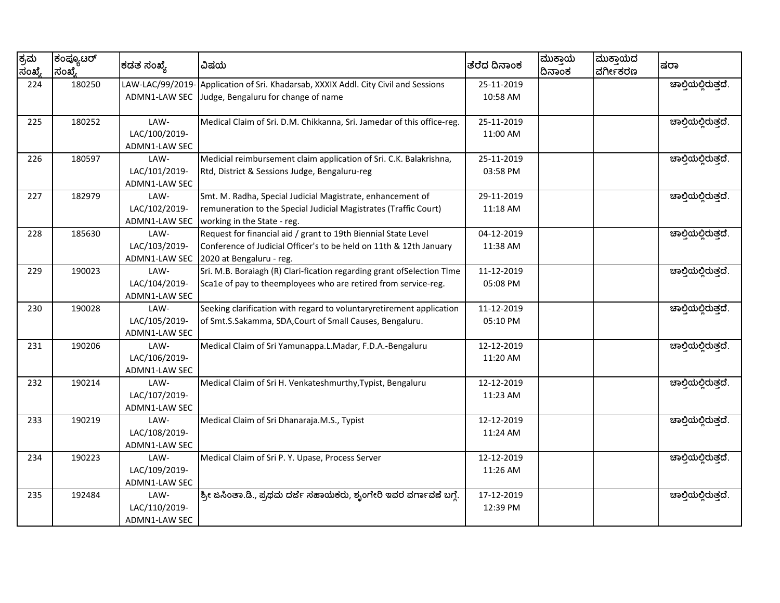| ಕ್ರಮ<br>ಸಂಖ್ಯೆ | ಕಂಪ್ಯೂಟರ್<br>ಸಂಖೆ. | ಕಡತ ಸಂಖ್ಯೆ                               | ವಿಷಯ                                                                                                      | ತೆರೆದ ದಿನಾಂಕ           | ಮುಕ್ತಾಯ<br>ದಿನಾಂಕ | ಮುಕ್ತಾಯದ<br>ವರ್ಗೀಕರಣ | ಷರಾ                 |
|----------------|--------------------|------------------------------------------|-----------------------------------------------------------------------------------------------------------|------------------------|-------------------|----------------------|---------------------|
| 224            | 180250             | LAW-LAC/99/2019-<br><b>ADMN1-LAW SEC</b> | Application of Sri. Khadarsab, XXXIX Addl. City Civil and Sessions<br>Judge, Bengaluru for change of name | 25-11-2019<br>10:58 AM |                   |                      | ಚಾಲ್ತಿಯಲ್ಲಿರುತ್ತದೆ. |
|                |                    |                                          |                                                                                                           |                        |                   |                      |                     |
| 225            | 180252             | LAW-                                     | Medical Claim of Sri. D.M. Chikkanna, Sri. Jamedar of this office-reg.                                    | 25-11-2019             |                   |                      | ಚಾಲ್ತಿಯಲ್ಲಿರುತ್ತದೆ. |
|                |                    | LAC/100/2019-                            |                                                                                                           | 11:00 AM               |                   |                      |                     |
|                |                    | ADMN1-LAW SEC                            |                                                                                                           |                        |                   |                      |                     |
| 226            | 180597             | LAW-                                     | Medicial reimbursement claim application of Sri. C.K. Balakrishna,                                        | 25-11-2019             |                   |                      | ಚಾಲ್ತಿಯಲ್ಲಿರುತ್ತದೆ. |
|                |                    | LAC/101/2019-                            | Rtd, District & Sessions Judge, Bengaluru-reg                                                             | 03:58 PM               |                   |                      |                     |
|                |                    | ADMN1-LAW SEC                            |                                                                                                           |                        |                   |                      |                     |
| 227            | 182979             | LAW-                                     | Smt. M. Radha, Special Judicial Magistrate, enhancement of                                                | 29-11-2019             |                   |                      | ಚಾಲ್ತಿಯಲ್ಲಿರುತ್ತದೆ. |
|                |                    | LAC/102/2019-                            | remuneration to the Special Judicial Magistrates (Traffic Court)                                          | 11:18 AM               |                   |                      |                     |
|                |                    | ADMN1-LAW SEC                            | working in the State - reg.                                                                               |                        |                   |                      |                     |
| 228            | 185630             | LAW-                                     | Request for financial aid / grant to 19th Biennial State Level                                            | 04-12-2019             |                   |                      | ಚಾಲ್ತಿಯಲ್ಲಿರುತ್ತದೆ. |
|                |                    | LAC/103/2019-                            | Conference of Judicial Officer's to be held on 11th & 12th January                                        | 11:38 AM               |                   |                      |                     |
|                |                    | ADMN1-LAW SEC                            | 2020 at Bengaluru - reg.                                                                                  |                        |                   |                      |                     |
| 229            | 190023             | LAW-                                     | Sri. M.B. Boraiagh (R) Clari-fication regarding grant ofSelection Tlme                                    | 11-12-2019             |                   |                      | ಚಾಲ್ತಿಯಲ್ಲಿರುತ್ತದೆ. |
|                |                    | LAC/104/2019-                            | Sca1e of pay to theemployees who are retired from service-reg.                                            | 05:08 PM               |                   |                      |                     |
|                |                    | ADMN1-LAW SEC                            |                                                                                                           |                        |                   |                      |                     |
| 230            | 190028             | LAW-                                     | Seeking clarification with regard to voluntaryretirement application                                      | 11-12-2019             |                   |                      | ಚಾಲ್ಗಿಯಲ್ಲಿರುತ್ತದೆ. |
|                |                    | LAC/105/2019-                            | of Smt.S.Sakamma, SDA,Court of Small Causes, Bengaluru.                                                   | 05:10 PM               |                   |                      |                     |
|                |                    | ADMN1-LAW SEC                            |                                                                                                           |                        |                   |                      |                     |
| 231            | 190206             | LAW-                                     | Medical Claim of Sri Yamunappa.L.Madar, F.D.A.-Bengaluru                                                  | 12-12-2019             |                   |                      | ಚಾಲ್ತಿಯಲ್ಲಿರುತ್ತದೆ. |
|                |                    | LAC/106/2019-                            |                                                                                                           | 11:20 AM               |                   |                      |                     |
|                |                    | ADMN1-LAW SEC                            |                                                                                                           |                        |                   |                      |                     |
| 232            | 190214             | LAW-                                     | Medical Claim of Sri H. Venkateshmurthy, Typist, Bengaluru                                                | 12-12-2019             |                   |                      | ಚಾಲ್ತಿಯಲ್ಲಿರುತ್ತದೆ. |
|                |                    | LAC/107/2019-                            |                                                                                                           | 11:23 AM               |                   |                      |                     |
|                |                    | ADMN1-LAW SEC                            |                                                                                                           |                        |                   |                      |                     |
| 233            | 190219             | LAW-                                     | Medical Claim of Sri Dhanaraja.M.S., Typist                                                               | 12-12-2019             |                   |                      | ಚಾಲ್ತಿಯಲ್ಲಿರುತ್ತದೆ. |
|                |                    | LAC/108/2019-                            |                                                                                                           | 11:24 AM               |                   |                      |                     |
|                |                    | ADMN1-LAW SEC                            |                                                                                                           |                        |                   |                      |                     |
| 234            | 190223             | LAW-                                     | Medical Claim of Sri P. Y. Upase, Process Server                                                          | 12-12-2019             |                   |                      | ಚಾಲ್ತಿಯಲ್ಲಿರುತ್ತದೆ. |
|                |                    | LAC/109/2019-                            |                                                                                                           | 11:26 AM               |                   |                      |                     |
|                |                    | ADMN1-LAW SEC                            |                                                                                                           |                        |                   |                      |                     |
| 235            | 192484             | LAW-                                     | ಶ್ರೀ ಜಸಿಂತಾ.ಡಿ., ಪ್ರಥಮ ದರ್ಜೆ ಸಹಾಯಕರು, ಶೃಂಗೇರಿ ಇವರ ವರ್ಗಾವಣೆ ಬಗ್ಗೆ.                                         | 17-12-2019             |                   |                      | ಚಾಲ್ತಿಯಲ್ಲಿರುತ್ತದೆ. |
|                |                    | LAC/110/2019-                            |                                                                                                           | 12:39 PM               |                   |                      |                     |
|                |                    | ADMN1-LAW SEC                            |                                                                                                           |                        |                   |                      |                     |